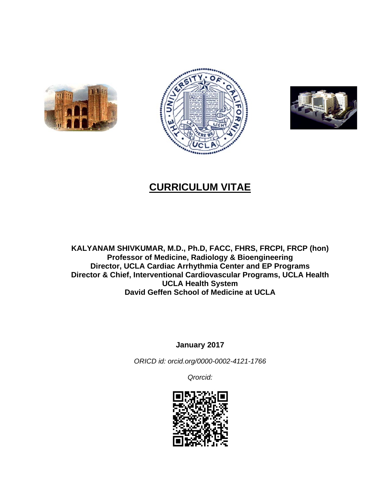





# **CURRICULUM VITAE**

**KALYANAM SHIVKUMAR, M.D., Ph.D, FACC, FHRS, FRCPI, FRCP (hon) Professor of Medicine, Radiology & Bioengineering Director, UCLA Cardiac Arrhythmia Center and EP Programs Director & Chief, Interventional Cardiovascular Programs, UCLA Health UCLA Health System David Geffen School of Medicine at UCLA** 

**January 2017** 

*ORICD id: orcid.org/0000-0002-4121-1766* 

*Qrorcid:*

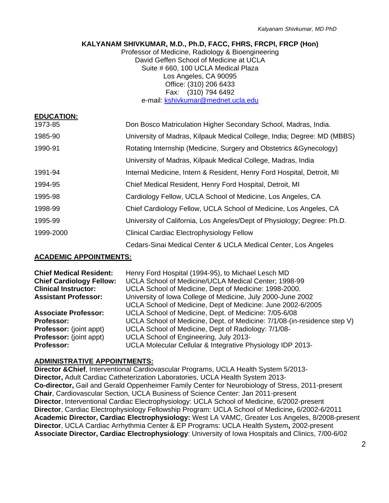# **KALYANAM SHIVKUMAR, M.D., Ph.D, FACC, FHRS, FRCPI, FRCP (Hon)**

Professor of Medicine, Radiology & Bioengineering David Geffen School of Medicine at UCLA Suite # 660, 100 UCLA Medical Plaza Los Angeles, CA 90095 Office: (310) 206 6433 Fax: (310) 794 6492 e-mail: kshivkumar@mednet.ucla.edu

| <b>EDUCATION:</b> |                                                                         |
|-------------------|-------------------------------------------------------------------------|
| 1973-85           | Don Bosco Matriculation Higher Secondary School, Madras, India.         |
| 1985-90           | University of Madras, Kilpauk Medical College, India; Degree: MD (MBBS) |
| 1990-91           | Rotating Internship (Medicine, Surgery and Obstetrics & Gynecology)     |
|                   | University of Madras, Kilpauk Medical College, Madras, India            |
| 1991-94           | Internal Medicine, Intern & Resident, Henry Ford Hospital, Detroit, MI  |
| 1994-95           | Chief Medical Resident, Henry Ford Hospital, Detroit, MI                |
| 1995-98           | Cardiology Fellow, UCLA School of Medicine, Los Angeles, CA             |
| 1998-99           | Chief Cardiology Fellow, UCLA School of Medicine, Los Angeles, CA       |
| 1995-99           | University of California, Los Angeles/Dept of Physiology; Degree: Ph.D. |
| 1999-2000         | Clinical Cardiac Electrophysiology Fellow                               |
|                   | Cedars-Sinai Medical Center & UCLA Medical Center, Los Angeles          |

## **ACADEMIC APPOINTMENTS:**

| <b>Chief Medical Resident:</b>  | Henry Ford Hospital (1994-95), to Michael Lesch MD                       |
|---------------------------------|--------------------------------------------------------------------------|
| <b>Chief Cardiology Fellow:</b> | UCLA School of Medicine/UCLA Medical Center; 1998-99                     |
| <b>Clinical Instructor:</b>     | UCLA School of Medicine, Dept of Medicine: 1998-2000.                    |
| <b>Assistant Professor:</b>     | University of Iowa College of Medicine, July 2000-June 2002              |
|                                 | UCLA School of Medicine, Dept of Medicine: June 2002-6/2005              |
| <b>Associate Professor:</b>     | UCLA School of Medicine, Dept. of Medicine: 7/05-6/08                    |
| <b>Professor:</b>               | UCLA School of Medicine, Dept. of Medicine: 7/1/08-(in-residence step V) |
| <b>Professor:</b> (joint appt)  | UCLA School of Medicine, Dept of Radiology: 7/1/08-                      |
| <b>Professor:</b> (joint appt)  | UCLA School of Engineering, July 2013-                                   |
| Professor:                      | UCLA Molecular Cellular & Integrative Physiology IDP 2013-               |

#### **ADMINISTRATIVE APPOINTMENTS:**

**Director &Chief**, Interventional Cardiovascular Programs, UCLA Health System 5/2013- **Director,** Adult Cardiac Catheterization Laboratories, UCLA Health System 2013- **Co-director,** Gail and Gerald Oppenheimer Family Center for Neurobiology of Stress, 2011-present **Chair**, Cardiovascular Section, UCLA Business of Science Center: Jan 2011-present **Director**, Interventional Cardiac Electrophysiology: UCLA School of Medicine, 6/2002-present **Director**, Cardiac Electrophysiology Fellowship Program: UCLA School of Medicine**,** 6/2002-6/2011 **Academic Director, Cardiac Electrophysiology:** West LA VAMC, Greater Los Angeles, 8/2008-present **Director**, UCLA Cardiac Arrhythmia Center & EP Programs: UCLA Health System**,** 2002-present **Associate Director, Cardiac Electrophysiology**: University of Iowa Hospitals and Clinics, 7/00-6/02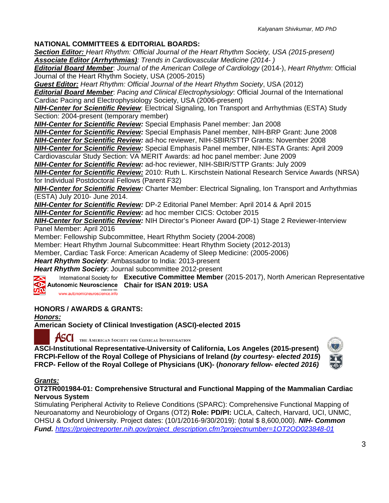# **NATIONAL COMMITTEES & EDITORIAL BOARDS:**

*Section Editor: Heart Rhythm: Official Journal of the Heart Rhythm Society, USA (2015-present) Associate Editor (Arrhythmias): Trends in Cardiovascular Medicine (2014- )*

*Editorial Board Member*: *Journal of the American College of Cardiology* (2014-), *Heart Rhythm*: Official Journal of the Heart Rhythm Society, USA (2005-2015)

*Guest Editor: Heart Rhythm: Official Journal of the Heart Rhythm Society*, USA (2012) *Editorial Board Member*: *Pacing and Clinical Electrophysiology*: Official Journal of the International Cardiac Pacing and Electrophysiology Society, USA (2006-present)

*NIH-Center for Scientific Review*: Electrical Signaling, Ion Transport and Arrhythmias (ESTA) Study Section: 2004-present (temporary member)

*NIH-Center for Scientific Review:* Special Emphasis Panel member: Jan 2008

*NIH-Center for Scientific Review:* Special Emphasis Panel member, NIH-BRP Grant: June 2008

*NIH-Center for Scientific Review:* ad-hoc reviewer, NIH-SBIR/STTP Grants: November 2008

*NIH-Center for Scientific Review:* Special Emphasis Panel member, NIH-ESTA Grants: April 2009 Cardiovascular Study Section: VA MERIT Awards: ad hoc panel member: June 2009

*NIH-Center for Scientific Review:* ad-hoc reviewer, NIH-SBIR/STTP Grants: July 2009

*NIH-Center for Scientific Review:* 2010: Ruth L. Kirschstein National Research Service Awards (NRSA) for Individual Postdoctoral Fellows (Parent F32)

*NIH-Center for Scientific Review:* Charter Member: Electrical Signaling, Ion Transport and Arrhythmias (ESTA) July 2010- June 2014.

*NIH-Center for Scientific Review:* DP-2 Editorial Panel Member: April 2014 & April 2015

*NIH-Center for Scientific Review:* ad hoc member CICS: October 2015

*NIH-Center for Scientific Review:* NIH Director's Pioneer Award **(**DP-1) Stage 2 Reviewer-Interview Panel Member: April 2016

Member: Fellowship Subcommittee, Heart Rhythm Society (2004-2008)

Member: Heart Rhythm Journal Subcommittee: Heart Rhythm Society (2012-2013)

Member, Cardiac Task Force: American Academy of Sleep Medicine: (2005-2006)

*Heart Rhythm Society*: Ambassador to India: 2013-present

*Heart Rhythm Society*: Journal subcommittee 2012-present

International Society for **Executive Committee Member** (2015-2017), North American Representative **Autonomic Neuroscience Chair for ISAN 2019: USA** 

 $\boldsymbol{\varpi}$ v <sub>established 1995</sub><br>www.autonomicneuroscience.info

# **HONORS / AWARDS & GRANTS:**

*Honors:*  **American Society of Clinical Investigation (ASCI)-elected 2015** 

THE AMERICAN SOCIETY FOR CLINICAL INVESTIGATION

**ASCI-Institutional Representative-University of California, Los Angeles (2015-present) FRCPI-Fellow of the Royal College of Physicians of Ireland (***by courtesy- elected 2015***) FRCP- Fellow of the Royal College of Physicians (UK)- (***honorary fellow- elected 2016)*



## *Grants:*

**OT2TR001984-01: Comprehensive Structural and Functional Mapping of the Mammalian Cardiac Nervous System** 

Stimulating Peripheral Activity to Relieve Conditions (SPARC): Comprehensive Functional Mapping of Neuroanatomy and Neurobiology of Organs (OT2) **Role: PD/PI:** UCLA, Caltech, Harvard, UCI, UNMC, OHSU & Oxford University. Project dates: (10/1/2016-9/30/2019): (total \$ 8,600,000). *NIH- Common Fund. https://projectreporter.nih.gov/project\_description.cfm?projectnumber=1OT2OD023848-01*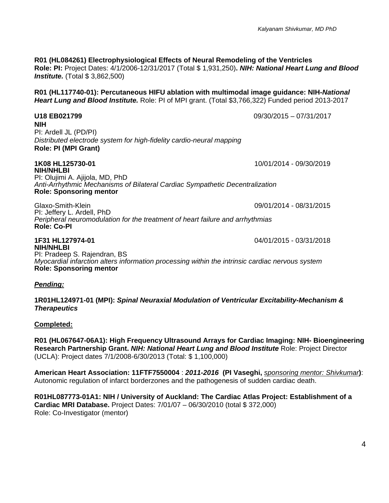**R01 (HL084261) Electrophysiological Effects of Neural Remodeling of the Ventricles Role: PI:** Project Dates: 4/1/2006-12/31/2017 (Total \$ 1,931,250)**.** *NIH: National Heart Lung and Blood Institute.* (Total \$ 3,862,500)

**R01 (HL117740-01): Percutaneous HIFU ablation with multimodal image guidance: NIH-***National Heart Lung and Blood Institute.* Role: PI of MPI grant. (Total \$3,766,322) Funded period 2013-2017

**U18 EB021799** 09/30/2015 – 07/31/2017 **NIH**  PI: Ardell JL (PD/PI) *Distributed electrode system for high-fidelity cardio-neural mapping*  **Role: PI (MPI Grant) 1K08 HL125730-01** 10/01/2014 - 09/30/2019 PI: Olujimi A. Ajijola, MD, PhD *Anti-Arrhythmic Mechanisms of Bilateral Cardiac Sympathetic Decentralization*  **Role: Sponsoring mentor**  Glaxo-Smith-Klein 09/01/2014 - 08/31/2015 PI: Jeffery L. Ardell, PhD *Peripheral neuromodulation for the treatment of heart failure and arrhythmias*  **Role: Co-PI 1F31 HL127974-01** 04/01/2015 - 03/31/2018

**NIH/NHLBI**  PI: Pradeep S. Rajendran, BS *Myocardial infarction alters information processing within the intrinsic cardiac nervous system*  **Role: Sponsoring mentor** 

*Pending:* 

**1R01HL124971-01 (MPI):** *Spinal Neuraxial Modulation of Ventricular Excitability-Mechanism & Therapeutics* 

#### **Completed:**

**R01 (HL067647-06A1): High Frequency Ultrasound Arrays for Cardiac Imaging: NIH- Bioengineering Research Partnership Grant.** *NIH: National Heart Lung and Blood Institute* Role: Project Director (UCLA): Project dates 7/1/2008-6/30/2013 (Total: \$ 1,100,000)

**American Heart Association: 11FTF7550004** : *2011-2016* **(PI Vaseghi,** *sponsoring mentor: Shivkumar***)**: Autonomic regulation of infarct borderzones and the pathogenesis of sudden cardiac death.

**R01HL087773-01A1: NIH / University of Auckland: The Cardiac Atlas Project: Establishment of a Cardiac MRI Database.** Project Dates: 7/01/07 – 06/30/2010 (total \$ 372,000) Role: Co-Investigator (mentor)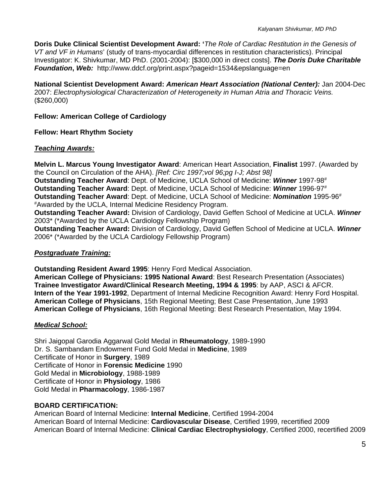**Doris Duke Clinical Scientist Development Award: '***The Role of Cardiac Restitution in the Genesis of VT and VF in Humans*' (study of trans-myocardial differences in restitution characteristics). Principal Investigator: K. Shivkumar, MD PhD. (2001-2004): [\$300,000 in direct costs]. *The Doris Duke Charitable Foundation***,** *Web:* http://www.ddcf.org/print.aspx?pageid=1534&epslanguage=en

**National Scientist Development Award:** *American Heart Association (National Center):* Jan 2004-Dec 2007: *Electrophysiological Characterization of Heterogeneity in Human Atria and Thoracic Veins.*  (\$260,000)

## **Fellow: American College of Cardiology**

## **Fellow: Heart Rhythm Society**

#### *Teaching Awards:*

**Melvin L. Marcus Young Investigator Award**: American Heart Association, **Finalist** 1997. (Awarded by the Council on Circulation of the AHA). *[Ref: Circ 1997;vol 96;pg I-J; Abst 98]* **Outstanding Teacher Award**: Dept. of Medicine, UCLA School of Medicine: *Winner* 1997-98# **Outstanding Teacher Award**: Dept. of Medicine, UCLA School of Medicine: *Winner* 1996-97# **Outstanding Teacher Award**: Dept. of Medicine, UCLA School of Medicine: *Nomination* 1995-96# #Awarded by the UCLA, Internal Medicine Residency Program. **Outstanding Teacher Award:** Division of Cardiology, David Geffen School of Medicine at UCLA. *Winner* 2003\* (\*Awarded by the UCLA Cardiology Fellowship Program) **Outstanding Teacher Award:** Division of Cardiology, David Geffen School of Medicine at UCLA. *Winner* 2006\* (\*Awarded by the UCLA Cardiology Fellowship Program)

## *Postgraduate Training:*

**Outstanding Resident Award 1995**: Henry Ford Medical Association.

**American College of Physicians: 1995 National Award**: Best Research Presentation (Associates) **Trainee Investigator Award/Clinical Research Meeting, 1994 & 1995**: by AAP, ASCI & AFCR. **Intern of the Year 1991-1992**, Department of Internal Medicine Recognition Award: Henry Ford Hospital. **American College of Physicians**, 15th Regional Meeting; Best Case Presentation, June 1993 **American College of Physicians**, 16th Regional Meeting: Best Research Presentation, May 1994.

## *Medical School:*

Shri Jaigopal Garodia Aggarwal Gold Medal in **Rheumatology**, 1989-1990 Dr. S. Sambandam Endowment Fund Gold Medal in **Medicine**, 1989 Certificate of Honor in **Surgery**, 1989 Certificate of Honor in **Forensic Medicine** 1990 Gold Medal in **Microbiology**, 1988-1989 Certificate of Honor in **Physiology**, 1986 Gold Medal in **Pharmacology**, 1986-1987

# **BOARD CERTIFICATION:**

American Board of Internal Medicine: **Internal Medicine**, Certified 1994-2004 American Board of Internal Medicine: **Cardiovascular Disease**, Certified 1999, recertified 2009 American Board of Internal Medicine: **Clinical Cardiac Electrophysiology**, Certified 2000, recertified 2009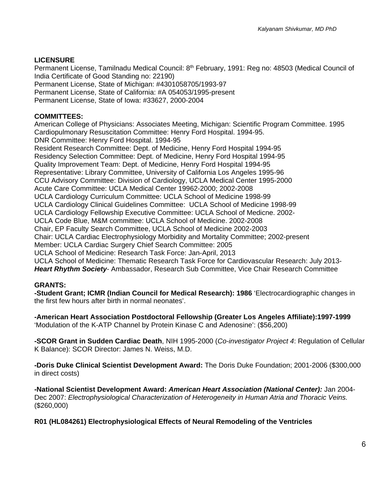# **LICENSURE**

Permanent License, Tamilnadu Medical Council: 8<sup>th</sup> February, 1991: Reg no: 48503 (Medical Council of India Certificate of Good Standing no: 22190) Permanent License, State of Michigan: #4301058705/1993-97 Permanent License, State of California: #A 054053/1995-present Permanent License, State of Iowa: #33627, 2000-2004

#### **COMMITTEES:**

American College of Physicians: Associates Meeting, Michigan: Scientific Program Committee. 1995 Cardiopulmonary Resuscitation Committee: Henry Ford Hospital. 1994-95. DNR Committee: Henry Ford Hospital. 1994-95 Resident Research Committee: Dept. of Medicine, Henry Ford Hospital 1994-95 Residency Selection Committee: Dept. of Medicine, Henry Ford Hospital 1994-95 Quality Improvement Team: Dept. of Medicine, Henry Ford Hospital 1994-95 Representative: Library Committee, University of California Los Angeles 1995-96 CCU Advisory Committee: Division of Cardiology, UCLA Medical Center 1995-2000 Acute Care Committee: UCLA Medical Center 19962-2000; 2002-2008 UCLA Cardiology Curriculum Committee: UCLA School of Medicine 1998-99 UCLA Cardiology Clinical Guidelines Committee: UCLA School of Medicine 1998-99 UCLA Cardiology Fellowship Executive Committee: UCLA School of Medicne. 2002- UCLA Code Blue, M&M committee: UCLA School of Medicine. 2002-2008 Chair, EP Faculty Search Committee, UCLA School of Medicine 2002-2003 Chair: UCLA Cardiac Electrophysiology Morbidity and Mortality Committee; 2002-present Member: UCLA Cardiac Surgery Chief Search Committee: 2005 UCLA School of Medicine: Research Task Force: Jan-April, 2013 UCLA School of Medicine: Thematic Research Task Force for Cardiovascular Research: July 2013- *Heart Rhythm Society*- Ambassador, Research Sub Committee, Vice Chair Research Committee

## **GRANTS:**

**-Student Grant; ICMR (Indian Council for Medical Research): 1986** 'Electrocardiographic changes in the first few hours after birth in normal neonates'.

**-American Heart Association Postdoctoral Fellowship (Greater Los Angeles Affiliate):1997-1999** 'Modulation of the K-ATP Channel by Protein Kinase C and Adenosine': (\$56,200)

**-SCOR Grant in Sudden Cardiac Death**, NIH 1995-2000 (*Co-investigator Project 4*: Regulation of Cellular K Balance): SCOR Director: James N. Weiss, M.D.

**-Doris Duke Clinical Scientist Development Award:** The Doris Duke Foundation; 2001-2006 (\$300,000 in direct costs)

**-National Scientist Development Award:** *American Heart Association (National Center):* Jan 2004- Dec 2007: *Electrophysiological Characterization of Heterogeneity in Human Atria and Thoracic Veins.*  (\$260,000)

## **R01 (HL084261) Electrophysiological Effects of Neural Remodeling of the Ventricles**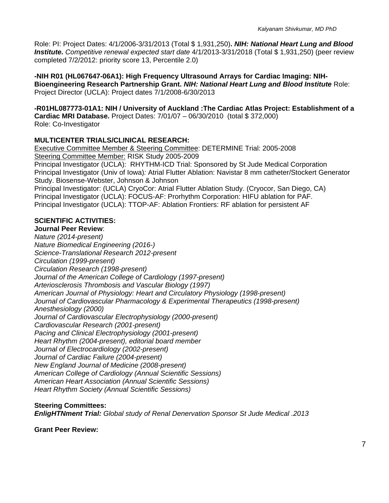Role: PI: Project Dates: 4/1/2006-3/31/2013 (Total \$ 1,931,250)**.** *NIH: National Heart Lung and Blood Institute. Competitive renewal expected start date* 4/1/2013-3/31/2018 (Total \$ 1,931,250) (peer review completed 7/2/2012: priority score 13, Percentile 2.0)

**-NIH R01 (HL067647-06A1): High Frequency Ultrasound Arrays for Cardiac Imaging: NIH-Bioengineering Research Partnership Grant.** *NIH: National Heart Lung and Blood Institute* Role: Project Director (UCLA): Project dates 7/1/2008-6/30/2013

**-R01HL087773-01A1: NIH / University of Auckland :The Cardiac Atlas Project: Establishment of a Cardiac MRI Database.** Project Dates: 7/01/07 – 06/30/2010 (total \$ 372,000) Role: Co-Investigator

## **MULTICENTER TRIALS/CLINICAL RESEARCH:**

Executive Committee Member & Steering Committee: DETERMINE Trial: 2005-2008 Steering Committee Member: RISK Study 2005-2009 Principal Investigator (UCLA): RHYTHM-ICD Trial: Sponsored by St Jude Medical Corporation Principal Investigator (Univ of Iowa)*:* Atrial Flutter Ablation: Navistar 8 mm catheter/Stockert Generator Study. Biosense-Webster, Johnson & Johnson Principal Investigator: (UCLA) CryoCor: Atrial Flutter Ablation Study. (Cryocor, San Diego, CA) Principal Investigator (UCLA): FOCUS-AF: Prorhythm Corporation: HIFU ablation for PAF. Principal Investigator (UCLA): TTOP-AF: Ablation Frontiers: RF ablation for persistent AF

## **SCIENTIFIC ACTIVITIES:**

**Journal Peer Review**: *Nature (2014-present) Nature Biomedical Engineering (2016-) Science-Translational Research 2012-present Circulation (1999-present) Circulation Research (1998-present) Journal of the American College of Cardiology (1997-present) Arteriosclerosis Thrombosis and Vascular Biology (1997) American Journal of Physiology: Heart and Circulatory Physiology (1998-present) Journal of Cardiovascular Pharmacology & Experimental Therapeutics (1998-present) Anesthesiology (2000) Journal of Cardiovascular Electrophysiology (2000-present) Cardiovascular Research (2001-present) Pacing and Clinical Electrophysiology (2001-present) Heart Rhythm (2004-present), editorial board member Journal of Electrocardiology (2002-present) Journal of Cardiac Failure (2004-present) New England Journal of Medicine (2008-present) American College of Cardiology (Annual Scientific Sessions) American Heart Association (Annual Scientific Sessions) Heart Rhythm Society (Annual Scientific Sessions)* 

#### **Steering Committees:**

*EnligHTNment Trial: Global study of Renal Denervation Sponsor St Jude Medical .2013* 

**Grant Peer Review:**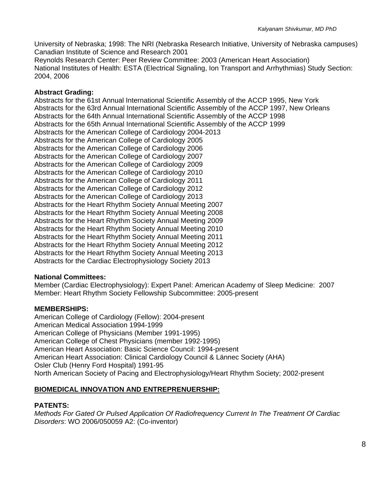University of Nebraska; 1998: The NRI (Nebraska Research Initiative, University of Nebraska campuses) Canadian Institute of Science and Research 2001 Reynolds Research Center: Peer Review Committee: 2003 (American Heart Association)

National Institutes of Health: ESTA (Electrical Signaling, Ion Transport and Arrhythmias) Study Section: 2004, 2006

#### **Abstract Grading:**

Abstracts for the 61st Annual International Scientific Assembly of the ACCP 1995, New York Abstracts for the 63rd Annual International Scientific Assembly of the ACCP 1997, New Orleans Abstracts for the 64th Annual International Scientific Assembly of the ACCP 1998 Abstracts for the 65th Annual International Scientific Assembly of the ACCP 1999 Abstracts for the American College of Cardiology 2004-2013 Abstracts for the American College of Cardiology 2005 Abstracts for the American College of Cardiology 2006 Abstracts for the American College of Cardiology 2007 Abstracts for the American College of Cardiology 2009 Abstracts for the American College of Cardiology 2010 Abstracts for the American College of Cardiology 2011 Abstracts for the American College of Cardiology 2012 Abstracts for the American College of Cardiology 2013 Abstracts for the Heart Rhythm Society Annual Meeting 2007 Abstracts for the Heart Rhythm Society Annual Meeting 2008 Abstracts for the Heart Rhythm Society Annual Meeting 2009 Abstracts for the Heart Rhythm Society Annual Meeting 2010 Abstracts for the Heart Rhythm Society Annual Meeting 2011 Abstracts for the Heart Rhythm Society Annual Meeting 2012 Abstracts for the Heart Rhythm Society Annual Meeting 2013 Abstracts for the Cardiac Electrophysiology Society 2013

## **National Committees:**

Member (Cardiac Electrophysiology): Expert Panel: American Academy of Sleep Medicine: 2007 Member: Heart Rhythm Society Fellowship Subcommittee: 2005-present

#### **MEMBERSHIPS:**

American College of Cardiology (Fellow): 2004-present American Medical Association 1994-1999 American College of Physicians (Member 1991-1995) American College of Chest Physicians (member 1992-1995) American Heart Association: Basic Science Council: 1994-present American Heart Association: Clinical Cardiology Council & Lännec Society (AHA) Osler Club (Henry Ford Hospital) 1991-95 North American Society of Pacing and Electrophysiology/Heart Rhythm Society; 2002-present

## **BIOMEDICAL INNOVATION AND ENTREPRENUERSHIP:**

# **PATENTS:**

*Methods For Gated Or Pulsed Application Of Radiofrequency Current In The Treatment Of Cardiac Disorders*: WO 2006/050059 A2: (Co-inventor)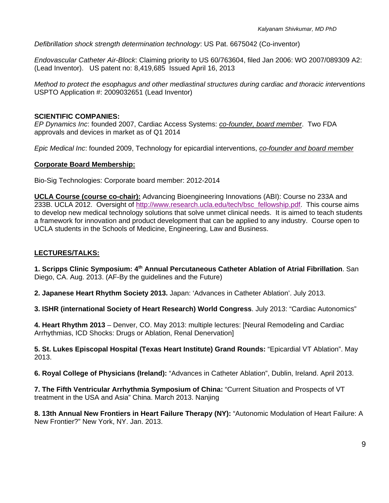*Defibrillation shock strength determination technology*: US Pat. 6675042 (Co-inventor)

*Endovascular Catheter Air-Block*: Claiming priority to US 60/763604, filed Jan 2006: WO 2007/089309 A2: (Lead Inventor). US patent no: 8,419,685 Issued April 16, 2013

*Method to protect the esophagus and other mediastinal structures during cardiac and thoracic interventions*  USPTO Application #: 2009032651 (Lead Inventor)

## **SCIENTIFIC COMPANIES:**

*EP Dynamics Inc*: founded 2007, Cardiac Access Systems: *co-founder, board member*. Two FDA approvals and devices in market as of Q1 2014

*Epic Medical Inc*: founded 2009, Technology for epicardial interventions, *co-founder and board member*

# **Corporate Board Membership:**

Bio-Sig Technologies: Corporate board member: 2012-2014

**UCLA Course (course co-chair):** Advancing Bioengineering Innovations (ABI): Course no 233A and 233B. UCLA 2012. Oversight of http://www.research.ucla.edu/tech/bsc\_fellowship.pdf. This course aims to develop new medical technology solutions that solve unmet clinical needs. It is aimed to teach students a framework for innovation and product development that can be applied to any industry. Course open to UCLA students in the Schools of Medicine, Engineering, Law and Business.

# **LECTURES/TALKS:**

**1. Scripps Clinic Symposium: 4th Annual Percutaneous Catheter Ablation of Atrial Fibrillation**. San Diego, CA. Aug. 2013. (AF-By the guidelines and the Future)

**2. Japanese Heart Rhythm Society 2013.** Japan: 'Advances in Catheter Ablation'. July 2013.

**3. ISHR (international Society of Heart Research) World Congress**. July 2013: "Cardiac Autonomics"

**4. Heart Rhythm 2013** – Denver, CO. May 2013: multiple lectures: [Neural Remodeling and Cardiac Arrhythmias, ICD Shocks: Drugs or Ablation, Renal Denervation]

**5. St. Lukes Episcopal Hospital (Texas Heart Institute) Grand Rounds:** "Epicardial VT Ablation". May 2013.

**6. Royal College of Physicians (Ireland):** "Advances in Catheter Ablation", Dublin, Ireland. April 2013.

**7. The Fifth Ventricular Arrhythmia Symposium of China:** "Current Situation and Prospects of VT treatment in the USA and Asia" China. March 2013. Nanjing

**8. 13th Annual New Frontiers in Heart Failure Therapy (NY):** "Autonomic Modulation of Heart Failure: A New Frontier?" New York, NY. Jan. 2013.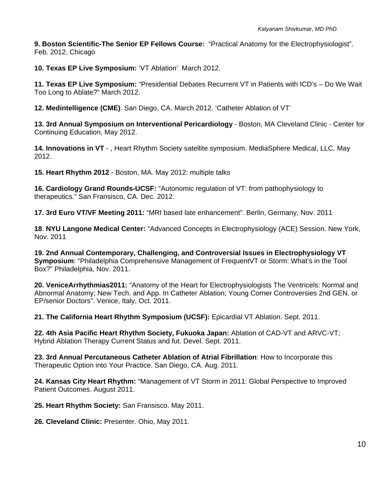**9. Boston Scientific-The Senior EP Fellows Course:** "Practical Anatomy for the Electrophysiologist". Feb. 2012, Chicago

**10. Texas EP Live Symposium:** 'VT Ablation' March 2012.

**11. Texas EP Live Symposium:** "Presidential Debates Recurrent VT in Patients with ICD's – Do We Wait Too Long to Ablate?" March 2012.

**12. Medintelligence (CME)**. San Diego, CA. March 2012. 'Catheter Ablation of VT'

**13. 3rd Annual Symposium on Interventional Pericardiology** - Boston, MA Cleveland Clinic - Center for Continuing Education, May 2012.

**14. Innovations in VT** - , Heart Rhythm Society satellite symposium. MediaSphere Medical, LLC. May 2012.

**15. Heart Rhythm 2012** - Boston, MA. May 2012: multiple talks

**16. Cardiology Grand Rounds-UCSF:** "Autonomic regulation of VT: from pathophysiology to therapeutics." San Fransisco, CA. Dec. 2012.

**17. 3rd Euro VT/VF Meeting 2011:** "MRI based late enhancement". Berlin, Germany, Nov. 2011

**18**. **NYU Langone Medical Center:** "Advanced Concepts in Electrophysiology (ACE) Session. New York, Nov. 2011

**19. 2nd Annual Contemporary, Challenging, and Controversial Issues in Electrophysiology VT Symposium**: "Philadelphia Comprehensive Management of FrequentVT or Storm: What's in the Tool Box?" Philadelphia, Nov. 2011.

**20. VeniceArrhythmias2011:** "Anatomy of the Heart for Electrophysiologists The Ventricels: Normal and Abnormal Anatomy; New Tech. and App. In Catheter Ablation; Young Corner Controversies 2nd GEN. or EP/senior Doctors". Venice, Italy, Oct. 2011.

**21. The California Heart Rhythm Symposium (UCSF):** Epicardial VT Ablation. Sept. 2011.

**22. 4th Asia Pacific Heart Rhythm Society, Fukuoka Japan:** Ablation of CAD-VT and ARVC-VT; Hybrid Ablation Therapy Current Status and fut. Devel. Sept. 2011.

**23. 3rd Annual Percutaneous Catheter Ablation of Atrial Fibrillation**: How to Incorporate this Therapeutic Option into Your Practice. San Diego, CA. Aug. 2011.

**24. Kansas City Heart Rhythm:** "Management of VT Storm in 2011: Global Perspective to Improved Patient Outcomes. August 2011.

**25. Heart Rhythm Society:** San Fransisco. May 2011.

**26. Cleveland Clinic:** Presenter. Ohio, May 2011.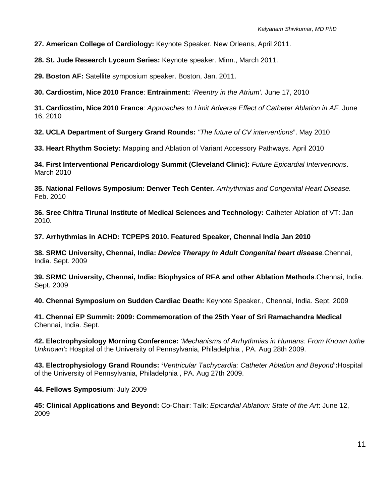**27. American College of Cardiology:** Keynote Speaker. New Orleans, April 2011.

**28. St. Jude Research Lyceum Series:** Keynote speaker. Minn., March 2011.

**29. Boston AF:** Satellite symposium speaker. Boston, Jan. 2011.

**30. Cardiostim, Nice 2010 France**: **Entrainment:** '*Reentry in the Atrium'.* June 17, 2010

**31. Cardiostim, Nice 2010 France**: *Approaches to Limit Adverse Effect of Catheter Ablation in AF.* June 16, 2010

**32. UCLA Department of Surgery Grand Rounds:** *"The future of CV interventions*". May 2010

**33. Heart Rhythm Society:** Mapping and Ablation of Variant Accessory Pathways. April 2010

**34. First Interventional Pericardiology Summit (Cleveland Clinic):** *Future Epicardial Interventions*. March 2010

**35. National Fellows Symposium: Denver Tech Center.** *Arrhythmias and Congenital Heart Disease.* Feb. 2010

**36. Sree Chitra Tirunal Institute of Medical Sciences and Technology:** Catheter Ablation of VT: Jan 2010.

**37. Arrhythmias in ACHD: TCPEPS 2010. Featured Speaker, Chennai India Jan 2010** 

**38. SRMC University, Chennai, India:** *Device Therapy In Adult Congenital heart disease.*Chennai, India. Sept. 2009

**39. SRMC University, Chennai, India: Biophysics of RFA and other Ablation Methods**.Chennai, India. Sept. 2009

**40. Chennai Symposium on Sudden Cardiac Death:** Keynote Speaker., Chennai, India. Sept. 2009

**41. Chennai EP Summit: 2009: Commemoration of the 25th Year of Sri Ramachandra Medical** Chennai, India. Sept.

**42. Electrophysiology Morning Conference:** *'Mechanisms of Arrhythmias in Humans: From Known tothe Unknown'***:** Hospital of the University of Pennsylvania, Philadelphia , PA. Aug 28th 2009.

**43. Electrophysiology Grand Rounds: '***Ventricular Tachycardia: Catheter Ablation and Beyond'***:**Hospital of the University of Pennsylvania, Philadelphia , PA. Aug 27th 2009.

**44. Fellows Symposium**: July 2009

**45: Clinical Applications and Beyond:** Co-Chair: Talk: *Epicardial Ablation: State of the Art*: June 12, 2009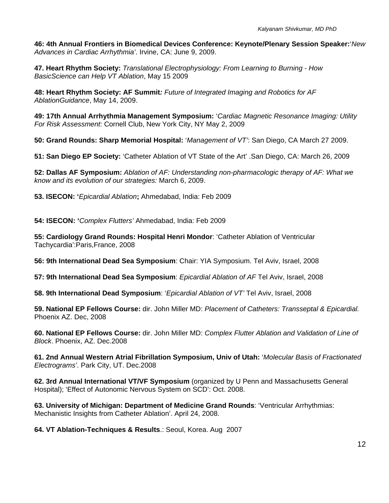**46: 4th Annual Frontiers in Biomedical Devices Conference: Keynote/Plenary Session Speaker:**'*New Advances in Cardiac Arrhythmia'*. Irvine, CA: June 9, 2009.

**47. Heart Rhythm Society:** *Translational Electrophysiology: From Learning to Burning - How BasicScience can Help VT Ablation*, May 15 2009

**48: Heart Rhythm Society: AF Summit***: Future of Integrated Imaging and Robotics for AF AblationGuidance*, May 14, 2009.

**49: 17th Annual Arrhythmia Management Symposium:** '*Cardiac Magnetic Resonance Imaging: Utility For Risk Assessment*: Cornell Club, New York City, NY May 2, 2009

**50: Grand Rounds: Sharp Memorial Hospital:** '*Management of VT'*: San Diego, CA March 27 2009.

**51: San Diego EP Society:** 'Catheter Ablation of VT State of the Art' .San Diego, CA: March 26, 2009

**52: Dallas AF Symposium:** *Ablation of AF: Understanding non-pharmacologic therapy of AF: What we know and its evolution of our strategies:* March 6, 2009.

**53. ISECON: '***Epicardial Ablation***;** Ahmedabad, India: Feb 2009

**54: ISECON: '***Complex Flutters'* Ahmedabad, India: Feb 2009

**55: Cardiology Grand Rounds: Hospital Henri Mondor**: 'Catheter Ablation of Ventricular Tachycardia':Paris,France, 2008

**56: 9th International Dead Sea Symposium**: Chair: YIA Symposium. Tel Aviv, Israel, 2008

**57: 9th International Dead Sea Symposium**: *Epicardial Ablation of AF* Tel Aviv, Israel, 2008

**58. 9th International Dead Symposium**: '*Epicardial Ablation of VT'* Tel Aviv, Israel, 2008

**59. National EP Fellows Course:** dir. John Miller MD: *Placement of Catheters: Transseptal & Epicardial.* Phoenix AZ. Dec, 2008

**60. National EP Fellows Course:** dir. John Miller MD: *Complex Flutter Ablation and Validation of Line of Block*. Phoenix, AZ. Dec.2008

**61. 2nd Annual Western Atrial Fibrillation Symposium, Univ of Utah:** '*Molecular Basis of Fractionated Electrograms'*. Park City, UT. Dec.2008

**62. 3rd Annual International VT/VF Symposium** (organized by U Penn and Massachusetts General Hospital); 'Effect of Autonomic Nervous System on SCD': Oct. 2008.

**63. University of Michigan: Department of Medicine Grand Rounds**: 'Ventricular Arrhythmias: Mechanistic Insights from Catheter Ablation'. April 24, 2008.

**64. VT Ablation-Techniques & Results**.: Seoul, Korea. Aug 2007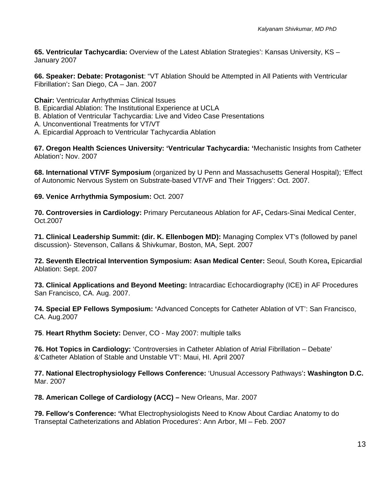**65. Ventricular Tachycardia:** Overview of the Latest Ablation Strategies': Kansas University, KS – January 2007

**66. Speaker: Debate: Protagonist**: "VT Ablation Should be Attempted in All Patients with Ventricular Fibrillation'**:** San Diego, CA – Jan. 2007

**Chair:** Ventricular Arrhythmias Clinical Issues

- B. Epicardial Ablation: The Institutional Experience at UCLA
- B. Ablation of Ventricular Tachycardia: Live and Video Case Presentations
- A. Unconventional Treatments for VT/VT
- A. Epicardial Approach to Ventricular Tachycardia Ablation

**67. Oregon Health Sciences University: 'Ventricular Tachycardia: '**Mechanistic Insights from Catheter Ablation'**:** Nov. 2007

**68. International VT/VF Symposium** (organized by U Penn and Massachusetts General Hospital); 'Effect of Autonomic Nervous System on Substrate-based VT/VF and Their Triggers': Oct. 2007.

**69. Venice Arrhythmia Symposium:** Oct. 2007

**70. Controversies in Cardiology:** Primary Percutaneous Ablation for AF**,** Cedars-Sinai Medical Center, Oct.2007

**71. Clinical Leadership Summit: (dir. K. Ellenbogen MD):** Managing Complex VT's (followed by panel discussion)- Stevenson, Callans & Shivkumar, Boston, MA, Sept. 2007

**72. Seventh Electrical Intervention Symposium: Asan Medical Center:** Seoul, South Korea**,** Epicardial Ablation: Sept. 2007

**73. Clinical Applications and Beyond Meeting:** Intracardiac Echocardiography (ICE) in AF Procedures San Francisco, CA. Aug. 2007.

**74. Special EP Fellows Symposium: '**Advanced Concepts for Catheter Ablation of VT': San Francisco, CA. Aug.2007

**75**. **Heart Rhythm Society:** Denver, CO - May 2007: multiple talks

**76. Hot Topics in Cardiology:** 'Controversies in Catheter Ablation of Atrial Fibrillation – Debate' &'Catheter Ablation of Stable and Unstable VT': Maui, HI. April 2007

**77. National Electrophysiology Fellows Conference:** 'Unusual Accessory Pathways'**: Washington D.C.**  Mar. 2007

**78. American College of Cardiology (ACC) –** New Orleans, Mar. 2007

**79. Fellow's Conference: '**What Electrophysiologists Need to Know About Cardiac Anatomy to do Transeptal Catheterizations and Ablation Procedures': Ann Arbor, MI – Feb. 2007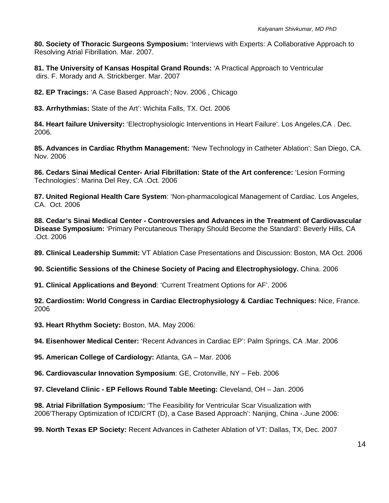**80. Society of Thoracic Surgeons Symposium:** 'Interviews with Experts: A Collaborative Approach to Resolving Atrial Fibrillation. Mar. 2007.

**81. The University of Kansas Hospital Grand Rounds:** 'A Practical Approach to Ventricular dirs. F. Morady and A. Strickberger. Mar. 2007

**82. EP Tracings:** 'A Case Based Approach'; Nov. 2006 , Chicago

**83. Arrhythmias:** State of the Art': Wichita Falls, TX. Oct. 2006

**84. Heart failure University:** 'Electrophysiologic Interventions in Heart Failure'. Los Angeles,CA . Dec. 2006.

**85. Advances in Cardiac Rhythm Management:** 'New Technology in Catheter Ablation': San Diego, CA. Nov. 2006

**86. Cedars Sinai Medical Center- Arial Fibrillation: State of the Art conference:** 'Lesion Forming Technologies': Marina Del Rey, CA .Oct. 2006

**87. United Regional Health Care System**: 'Non-pharmacological Management of Cardiac. Los Angeles, CA. Oct. 2006

**88. Cedar's Sinai Medical Center - Controversies and Advances in the Treatment of Cardiovascular Disease Symposium:** 'Primary Percutaneous Therapy Should Become the Standard': Beverly Hills, CA .Oct. 2006

**89. Clinical Leadership Summit:** VT Ablation Case Presentations and Discussion: Boston, MA Oct. 2006

**90. Scientific Sessions of the Chinese Society of Pacing and Electrophysiology.** China. 2006

**91. Clinical Applications and Beyond**: 'Current Treatment Options for AF'. 2006

**92. Cardiostim: World Congress in Cardiac Electrophysiology & Cardiac Techniques:** Nice, France. 2006

**93. Heart Rhythm Society:** Boston, MA. May 2006:

**94. Eisenhower Medical Center:** 'Recent Advances in Cardiac EP': Palm Springs, CA .Mar. 2006

**95. American College of Cardiology:** Atlanta, GA – Mar. 2006

**96. Cardiovascular Innovation Symposium**: GE, Crotonville, NY – Feb. 2006

**97. Cleveland Clinic - EP Fellows Round Table Meeting:** Cleveland, OH – Jan. 2006

**98. Atrial Fibrillation Symposium:** 'The Feasibility for Ventricular Scar Visualization with 2006'Therapy Optimization of ICD/CRT (D), a Case Based Approach': Nanjing, China -.June 2006:

**99. North Texas EP Society:** Recent Advances in Catheter Ablation of VT: Dallas, TX, Dec. 2007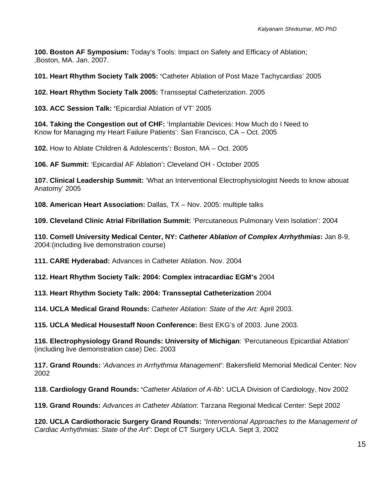**100. Boston AF Symposium:** Today's Tools: Impact on Safety and Efficacy of Ablation; ,Boston, MA. Jan. 2007.

**101. Heart Rhythm Society Talk 2005: '**Catheter Ablation of Post Maze Tachycardias' 2005

**102. Heart Rhythm Society Talk 2005:** Transseptal Catheterization. 2005

**103. ACC Session Talk: '**Epicardial Ablation of VT' 2005

**104. Taking the Congestion out of CHF:** 'Implantable Devices: How Much do I Need to Know for Managing my Heart Failure Patients': San Francisco, CA – Oct. 2005

**102.** How to Ablate Children & Adolescents'**:** Boston, MA – Oct. 2005

**106. AF Summit:** 'Epicardial AF Ablation'**:** Cleveland OH - October 2005

**107. Clinical Leadership Summit:** 'What an Interventional Electrophysiologist Needs to know abouat Anatomy' 2005

**108. American Heart Association:** Dallas, TX – Nov. 2005: multiple talks

**109. Cleveland Clinic Atrial Fibrillation Summit:** 'Percutaneous Pulmonary Vein Isolation': 2004

**110. Cornell University Medical Center, NY:** *Catheter Ablation of Complex Arrhythmias***:** Jan 8-9, 2004:(including live demonstration course)

**111. CARE Hyderabad:** Advances in Catheter Ablation. Nov. 2004

**112. Heart Rhythm Society Talk: 2004: Complex intracardiac EGM's** 2004

**113. Heart Rhythm Society Talk: 2004: Transseptal Catheterization** 2004

**114. UCLA Medical Grand Rounds:** *Catheter Ablation: State of the Art:* April 2003.

**115. UCLA Medical Housestaff Noon Conference:** Best EKG's of 2003. June 2003.

**116. Electrophysiology Grand Rounds: University of Michigan**: 'Percutaneous Epicardial Ablation' (including live demonstration case) Dec. 2003

**117. Grand Rounds:** '*Advances in Arrhythmia Management*': Bakersfield Memorial Medical Center: Nov 2002

**118. Cardiology Grand Rounds: '***Catheter Ablation of A-fib'*: UCLA Division of Cardiology, Nov 2002

**119. Grand Rounds:** *Advances in Catheter Ablation*: Tarzana Regional Medical Center: Sept 2002

**120. UCLA Cardiothoracic Surgery Grand Rounds:** *"Interventional Approaches to the Management of Cardiac Arrhythmias: State of the Art*": Dept of CT Surgery UCLA. Sept 3, 2002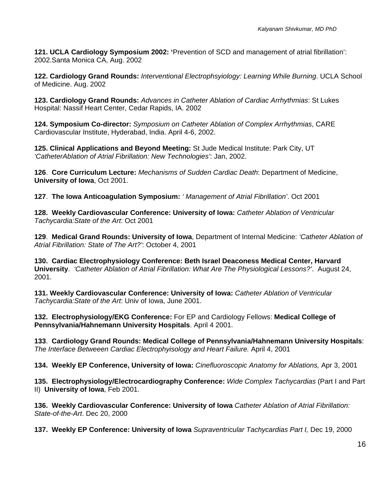**121. UCLA Cardiology Symposium 2002: '**Prevention of SCD and management of atrial fibrillation': 2002.Santa Monica CA, Aug. 2002

**122. Cardiology Grand Rounds:** *Interventional Electrophsyiology: Learning While Burning*. UCLA School of Medicine. Aug. 2002

**123. Cardiology Grand Rounds:** *Advances in Catheter Ablation of Cardiac Arrhythmias*: St Lukes Hospital: Nassif Heart Center, Cedar Rapids, IA. 2002

**124. Symposium Co-director:** *Symposium on Catheter Ablation of Complex Arrhythmias*, CARE Cardiovascular Institute, Hyderabad, India. April 4-6, 2002.

**125. Clinical Applications and Beyond Meeting:** St Jude Medical Institute: Park City, UT *'CatheterAblation of Atrial Fibrillation: New Technologies'*: Jan, 2002.

**126**. **Core Curriculum Lecture:** *Mechanisms of Sudden Cardiac Death*: Department of Medicine, **University of Iowa**, Oct 2001.

**127**. **The Iowa Anticoagulation Symposium:** *' Management of Atrial Fibrillation'*. Oct 2001

**128. Weekly Cardiovascular Conference: University of Iowa:** *Catheter Ablation of Ventricular Tachycardia:State of the Art*: Oct 2001

**129**. **Medical Grand Rounds: University of Iowa**, Department of Internal Medicine: *'Catheter Ablation of Atrial Fibrillation: State of The Art?'*: October 4, 2001

**130. Cardiac Electrophysiology Conference: Beth Israel Deaconess Medical Center, Harvard University**. *'Catheter Ablation of Atrial Fibrillation: What Are The Physiological Lessons?'*. August 24, 2001.

**131. Weekly Cardiovascular Conference: University of Iowa:** *Catheter Ablation of Ventricular Tachycardia:State of the Art*: Univ of Iowa, June 2001.

**132. Electrophysiology/EKG Conference:** For EP and Cardiology Fellows: **Medical College of Pennsylvania/Hahnemann University Hospitals**. April 4 2001.

**133**. **Cardiology Grand Rounds: Medical College of Pennsylvania/Hahnemann University Hospitals**: *The Interface Betweeen Cardiac Electrophyisology and Heart Failure.* April 4, 2001

**134. Weekly EP Conference, University of Iowa:** *Cinefluoroscopic Anatomy for Ablations,* Apr 3, 2001

**135. Electrophysiology/Electrocardiography Conference:** *Wide Complex Tachycardias* (Part I and Part II) **University of Iowa**, Feb 2001.

**136. Weekly Cardiovascular Conference: University of Iowa** *Catheter Ablation of Atrial Fibrillation: State-of-the-Art*. Dec 20, 2000

**137. Weekly EP Conference: University of Iowa** *Supraventricular Tachycardias Part I,* Dec 19, 2000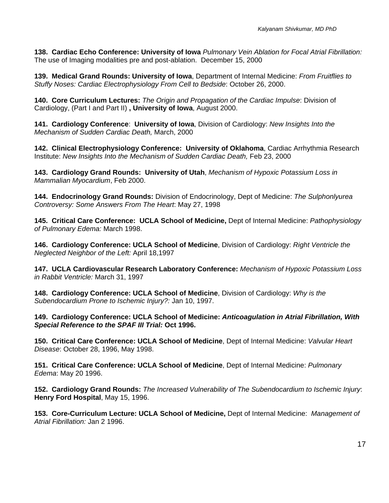**138. Cardiac Echo Conference: University of Iowa** *Pulmonary Vein Ablation for Focal Atrial Fibrillation:* The use of Imaging modalities pre and post-ablation. December 15, 2000

**139. Medical Grand Rounds: University of Iowa**, Department of Internal Medicine: *From Fruitflies to Stuffy Noses: Cardiac Electrophysiology From Cell to Bedside*: October 26, 2000.

**140. Core Curriculum Lectures:** *The Origin and Propagation of the Cardiac Impulse*: Division of Cardiology, (Part I and Part II) **, University of Iowa**, August 2000.

**141. Cardiology Conference**: **University of Iowa**, Division of Cardiology: *New Insights Into the Mechanism of Sudden Cardiac Death,* March, 2000

**142. Clinical Electrophysiology Conference: University of Oklahoma**, Cardiac Arrhythmia Research Institute: *New Insights Into the Mechanism of Sudden Cardiac Death,* Feb 23, 2000

**143. Cardiology Grand Rounds: University of Utah**, *Mechanism of Hypoxic Potassium Loss in Mammalian Myocardium*, Feb 2000.

**144. Endocrinology Grand Rounds:** Division of Endocrinology, Dept of Medicine: *The Sulphonlyurea Controversy: Some Answers From The Heart*: May 27, 1998

**145. Critical Care Conference: UCLA School of Medicine,** Dept of Internal Medicine: *Pathophysiology of Pulmonary Edema:* March 1998.

**146. Cardiology Conference: UCLA School of Medicine**, Division of Cardiology: *Right Ventricle the Neglected Neighbor of the Left:* April 18,1997

**147. UCLA Cardiovascular Research Laboratory Conference:** *Mechanism of Hypoxic Potassium Loss in Rabbit Ventricle:* March 31, 1997

**148. Cardiology Conference: UCLA School of Medicine**, Division of Cardiology: *Why is the Subendocardium Prone to Ischemic Injury?:* Jan 10, 1997.

**149. Cardiology Conference: UCLA School of Medicine:** *Anticoagulation in Atrial Fibrillation, With Special Reference to the SPAF III Trial:* **Oct 1996.** 

**150. Critical Care Conference: UCLA School of Medicine**, Dept of Internal Medicine: *Valvular Heart Disease*: October 28, 1996, May 1998.

**151. Critical Care Conference: UCLA School of Medicine**, Dept of Internal Medicine: *Pulmonary Edema*: May 20 1996.

**152. Cardiology Grand Rounds:** *The Increased Vulnerability of The Subendocardium to Ischemic Injury*: **Henry Ford Hospital**, May 15, 1996.

**153. Core-Curriculum Lecture: UCLA School of Medicine,** Dept of Internal Medicine:*Management of Atrial Fibrillation:* Jan 2 1996.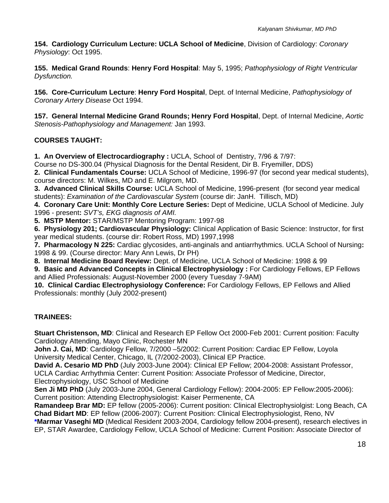**154. Cardiology Curriculum Lecture: UCLA School of Medicine**, Division of Cardiology: *Coronary Physiology*: Oct 1995.

**155. Medical Grand Rounds**: **Henry Ford Hospital**: May 5, 1995; *Pathophysiology of Right Ventricular Dysfunction.* 

**156. Core-Curriculum Lecture**: **Henry Ford Hospital**, Dept. of Internal Medicine, *Pathophysiology of Coronary Artery Disease* Oct 1994.

**157. General Internal Medicine Grand Rounds; Henry Ford Hospital**, Dept. of Internal Medicine, *Aortic Stenosis-Pathophysiology and Management:* Jan 1993.

# **COURSES TAUGHT:**

**1. An Overview of Electrocardiography :** UCLA, School of Dentistry, 7/96 & 7/97:

Course no DS-300.04 (Physical Diagnosis for the Dental Resident, Dir B. Fryemiller, DDS)

**2. Clinical Fundamentals Course:** UCLA School of Medicine, 1996-97 (for second year medical students), course directors: M. Wilkes, MD and E. Milgrom, MD.

**3. Advanced Clinical Skills Course:** UCLA School of Medicine, 1996-present (for second year medical students): *Examination of the Cardiovascular System* (course dir: JanH. Tillisch, MD)

**4. Coronary Care Unit: Monthly Core Lecture Series:** Dept of Medicine, UCLA School of Medicine. July 1996 - present**:** *SVT's, EKG diagnosis of AMI.*

**5. MSTP Mentor:** STAR/MSTP Mentoring Program: 1997-98

**6. Physiology 201; Cardiovascular Physiology:** Clinical Application of Basic Science: Instructor, for first year medical students. (course dir: Robert Ross, MD) 1997,1998

**7. Pharmacology N 225:** Cardiac glycosides, anti-anginals and antiarrhythmics. UCLA School of Nursing**:**  1998 & 99. (Course director: Mary Ann Lewis, Dr PH)

**8. Internal Medicine Board Review:** Dept. of Medicine, UCLA School of Medicine: 1998 & 99

9. Basic and Advanced Concepts in Clinical Electrophysiology : For Cardiology Fellows, EP Fellows and Allied Professionals: August-November 2000 (every Tuesday 7-9AM)

**10. Clinical Cardiac Electrophysiology Conference:** For Cardiology Fellows, EP Fellows and Allied Professionals: monthly (July 2002-present)

## **TRAINEES:**

**Stuart Christenson, MD**: Clinical and Research EP Fellow Oct 2000-Feb 2001: Current position: Faculty Cardiology Attending, Mayo Clinic, Rochester MN

John J. Cai, MD: Cardiology Fellow, 7/2000 -5/2002: Current Position: Cardiac EP Fellow, Loyola University Medical Center, Chicago, IL (7/2002-2003), Clinical EP Practice.

**David A. Cesario MD PhD** (July 2003-June 2004): Clinical EP Fellow; 2004-2008: Assistant Professor, UCLA Cardiac Arrhythmia Center: Current Position: Associate Professor of Medicine, Director, Electrophysiology, USC School of Medicine

**Sen Ji MD PhD** (July 2003-June 2004, General Cardiology Fellow): 2004-2005: EP Fellow:2005-2006): Current position: Attending Electrophysiologist: Kaiser Permenente, CA

**Ramandeep Brar MD:** EP fellow (2005-2006): Current position: Clinical Electrophysiolgist: Long Beach, CA **Chad Bidart MD**: EP fellow (2006-2007): Current Position: Clinical Electrophysiologist, Reno, NV

**\*Marmar Vaseghi MD** (Medical Resident 2003-2004, Cardiology fellow 2004-present), research electives in EP, STAR Awardee, Cardiology Fellow, UCLA School of Medicine: Current Position: Associate Director of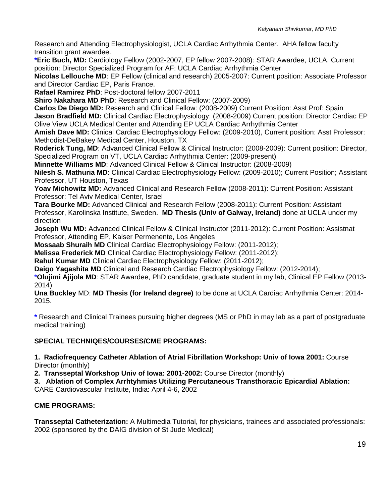Research and Attending Electrophysiologist, UCLA Cardiac Arrhythmia Center. AHA fellow faculty transition grant awardee.

**\*Eric Buch, MD:** Cardiology Fellow (2002-2007, EP fellow 2007-2008): STAR Awardee, UCLA. Current position: Director Specialized Program for AF: UCLA Cardiac Arrhythmia Center

**Nicolas Lellouche MD**: EP Fellow (clinical and research) 2005-2007: Current position: Associate Professor and Director Cardiac EP, Paris France.

**Rafael Ramirez PhD**: Post-doctoral fellow 2007-2011

**Shiro Nakahara MD PhD: Research and Clinical Fellow: (2007-2009)** 

**Carlos De Diego MD:** Research and Clinical Fellow: (2008-2009) Current Position: Asst Prof: Spain **Jason Bradfield MD:** Clinical Cardiac Electrophysiology: (2008-2009) Current position: Director Cardiac EP Olive View UCLA Medical Center and Attending EP UCLA Cardiac Arrhythmia Center

**Amish Dave MD:** Clinical Cardiac Electrophysiology Fellow: (2009-2010), Current position: Asst Professor: Methodist-DeBakey Medical Center, Houston, TX

**Roderick Tung, MD**: Advanced Clinical Fellow & Clinical Instructor: (2008-2009): Current position: Director, Specialized Program on VT, UCLA Cardiac Arrhythmia Center: (2009-present)

**Minnette Williams MD**: Advanced Clinical Fellow & Clinical Instructor: (2008-2009)

**Nilesh S. Mathuria MD**: Clinical Cardiac Electrophysiology Fellow: (2009-2010); Current Position; Assistant Professor, UT Houston, Texas

**Yoav Michowitz MD:** Advanced Clinical and Research Fellow (2008-2011): Current Position: Assistant Professor: Tel Aviv Medical Center, Israel

**Tara Bourke MD:** Advanced Clinical and Research Fellow (2008-2011): Current Position: Assistant Professor, Karolinska Institute, Sweden. **MD Thesis (Univ of Galway, Ireland)** done at UCLA under my direction

**Joseph Wu MD:** Advanced Clinical Fellow & Clinical Instructor (2011-2012): Current Position: Assistnat Professor, Attending EP, Kaiser Permenente, Los Angeles

**Mossaab Shuraih MD** Clinical Cardiac Electrophysiology Fellow: (2011-2012);

**Melissa Frederick MD** Clinical Cardiac Electrophysiology Fellow: (2011-2012);

**Rahul Kumar MD** Clinical Cardiac Electrophysiology Fellow: (2011-2012);

**Daigo Yagashita MD** Clinical and Research Cardiac Electrophysiology Fellow: (2012-2014);

**\*Olujimi Ajijola MD**: STAR Awardee, PhD candidate, graduate student in my lab, Clinical EP Fellow (2013- 2014)

**Una Buckley** MD: **MD Thesis (for Ireland degree)** to be done at UCLA Cardiac Arrhythmia Center: 2014- 2015.

**\*** Research and Clinical Trainees pursuing higher degrees (MS or PhD in may lab as a part of postgraduate medical training)

# **SPECIAL TECHNIQES/COURSES/CME PROGRAMS:**

**1. Radiofrequency Catheter Ablation of Atrial Fibrillation Workshop: Univ of Iowa 2001:** Course Director (monthly)

**2. Transseptal Workshop Univ of Iowa: 2001-2002:** Course Director (monthly)

**3. Ablation of Complex Arrhtyhmias Utilizing Percutaneous Transthoracic Epicardial Ablation:**  CARE Cardiovascular Institute, India: April 4-6, 2002

# **CME PROGRAMS:**

**Transseptal Catheterization:** A Multimedia Tutorial, for physicians, trainees and associated professionals: 2002 (sponsored by the DAIG division of St Jude Medical)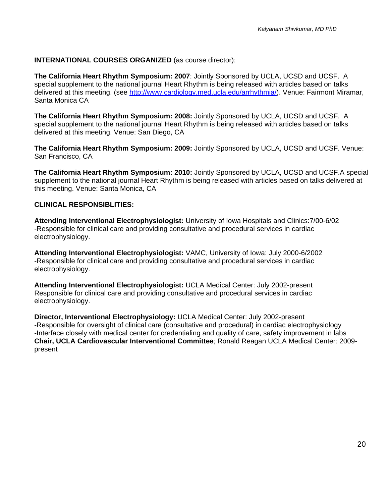## **INTERNATIONAL COURSES ORGANIZED** (as course director):

**The California Heart Rhythm Symposium: 2007**: Jointly Sponsored by UCLA, UCSD and UCSF. A special supplement to the national journal Heart Rhythm is being released with articles based on talks delivered at this meeting. (see http://www.cardiology.med.ucla.edu/arrhythmia/). Venue: Fairmont Miramar, Santa Monica CA

**The California Heart Rhythm Symposium: 2008:** Jointly Sponsored by UCLA, UCSD and UCSF. A special supplement to the national journal Heart Rhythm is being released with articles based on talks delivered at this meeting. Venue: San Diego, CA

**The California Heart Rhythm Symposium: 2009:** Jointly Sponsored by UCLA, UCSD and UCSF. Venue: San Francisco, CA

**The California Heart Rhythm Symposium: 2010:** Jointly Sponsored by UCLA, UCSD and UCSF.A special supplement to the national journal Heart Rhythm is being released with articles based on talks delivered at this meeting. Venue: Santa Monica, CA

## **CLINICAL RESPONSIBLITIES:**

**Attending Interventional Electrophysiologist:** University of Iowa Hospitals and Clinics:7/00-6/02 -Responsible for clinical care and providing consultative and procedural services in cardiac electrophysiology.

**Attending Interventional Electrophysiologist:** VAMC, University of Iowa: July 2000-6/2002 -Responsible for clinical care and providing consultative and procedural services in cardiac electrophysiology.

**Attending Interventional Electrophysiologist:** UCLA Medical Center: July 2002-present Responsible for clinical care and providing consultative and procedural services in cardiac electrophysiology.

**Director, Interventional Electrophysiology:** UCLA Medical Center: July 2002-present -Responsible for oversight of clinical care (consultative and procedural) in cardiac electrophysiology -Interface closely with medical center for credentialing and quality of care, safety improvement in labs **Chair, UCLA Cardiovascular Interventional Committee**; Ronald Reagan UCLA Medical Center: 2009 present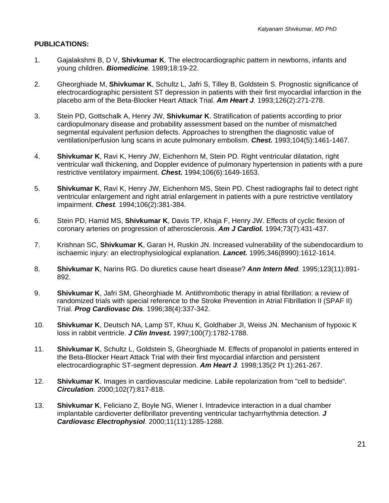## **PUBLICATIONS:**

- 1. Gajalakshmi B, D V, **Shivkumar K**. The electrocardiographic pattern in newborns, infants and young children. *Biomedicine.* 1989;18:19-22.
- 2. Gheorghiade M, **Shivkumar K**, Schultz L, Jafri S, Tilley B, Goldstein S. Prognostic significance of electrocardiographic persistent ST depression in patients with their first myocardial infarction in the placebo arm of the Beta-Blocker Heart Attack Trial. *Am Heart J.* 1993;126(2):271-278.
- 3. Stein PD, Gottschalk A, Henry JW, **Shivkumar K**. Stratification of patients according to prior cardiopulmonary disease and probability assessment based on the number of mismatched segmental equivalent perfusion defects. Approaches to strengthen the diagnostic value of ventilation/perfusion lung scans in acute pulmonary embolism. *Chest.* 1993;104(5):1461-1467.
- 4. **Shivkumar K**, Ravi K, Henry JW, Eichenhorn M, Stein PD. Right ventricular dilatation, right ventricular wall thickening, and Doppler evidence of pulmonary hypertension in patients with a pure restrictive ventilatory impairment. *Chest.* 1994;106(6):1649-1653.
- 5. **Shivkumar K**, Ravi K, Henry JW, Eichenhorn MS, Stein PD. Chest radiographs fail to detect right ventricular enlargement and right atrial enlargement in patients with a pure restrictive ventilatory impairment. *Chest.* 1994;106(2):381-384.
- 6. Stein PD, Hamid MS, **Shivkumar K**, Davis TP, Khaja F, Henry JW. Effects of cyclic flexion of coronary arteries on progression of atherosclerosis. *Am J Cardiol.* 1994;73(7):431-437.
- 7. Krishnan SC, **Shivkumar K**, Garan H, Ruskin JN. Increased vulnerability of the subendocardium to ischaemic injury: an electrophysiological explanation. *Lancet.* 1995;346(8990):1612-1614.
- 8. **Shivkumar K**, Narins RG. Do diuretics cause heart disease? *Ann Intern Med.* 1995;123(11):891- 892.
- 9. **Shivkumar K**, Jafri SM, Gheorghiade M. Antithrombotic therapy in atrial fibrillation: a review of randomized trials with special reference to the Stroke Prevention in Atrial Fibrillation II (SPAF II) Trial. *Prog Cardiovasc Dis.* 1996;38(4):337-342.
- 10. **Shivkumar K**, Deutsch NA, Lamp ST, Khuu K, Goldhaber JI, Weiss JN. Mechanism of hypoxic K loss in rabbit ventricle. *J Clin Invest.* 1997;100(7):1782-1788.
- 11. **Shivkumar K**, Schultz L, Goldstein S, Gheorghiade M. Effects of propanolol in patients entered in the Beta-Blocker Heart Attack Trial with their first myocardial infarction and persistent electrocardiographic ST-segment depression. *Am Heart J.* 1998;135(2 Pt 1):261-267.
- 12. **Shivkumar K**. Images in cardiovascular medicine. Labile repolarization from "cell to bedside". *Circulation.* 2000;102(7):817-818.
- 13. **Shivkumar K**, Feliciano Z, Boyle NG, Wiener I. Intradevice interaction in a dual chamber implantable cardioverter defibrillator preventing ventricular tachyarrhythmia detection. *J Cardiovasc Electrophysiol.* 2000;11(11):1285-1288.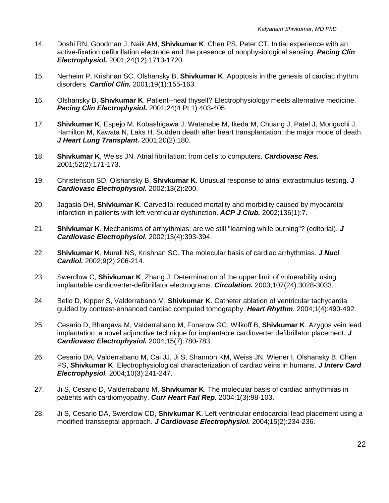- 14. Doshi RN, Goodman J, Naik AM, **Shivkumar K**, Chen PS, Peter CT. Initial experience with an active-fixation defibrillation electrode and the presence of nonphysiological sensing. *Pacing Clin Electrophysiol.* 2001;24(12):1713-1720.
- 15. Nerheim P, Krishnan SC, Olshansky B, **Shivkumar K**. Apoptosis in the genesis of cardiac rhythm disorders. *Cardiol Clin.* 2001;19(1):155-163.
- 16. Olshansky B, **Shivkumar K**. Patient--heal thyself? Electrophysiology meets alternative medicine. *Pacing Clin Electrophysiol.* 2001;24(4 Pt 1):403-405.
- 17. **Shivkumar K**, Espejo M, Kobashigawa J, Watanabe M, Ikeda M, Chuang J, Patel J, Moriguchi J, Hamilton M, Kawata N, Laks H. Sudden death after heart transplantation: the major mode of death. *J Heart Lung Transplant.* 2001;20(2):180.
- 18. **Shivkumar K**, Weiss JN. Atrial fibrillation: from cells to computers. *Cardiovasc Res.*  2001;52(2):171-173.
- 19. Christenson SD, Olshansky B, **Shivkumar K**. Unusual response to atrial extrastimulus testing. *J Cardiovasc Electrophysiol.* 2002;13(2):200.
- 20. Jagasia DH, **Shivkumar K**. Carvedilol reduced mortality and morbidity caused by myocardial infarction in patients with left ventricular dysfunction. *ACP J Club.* 2002;136(1):7.
- 21. **Shivkumar K**. Mechanisms of arrhythmias: are we still "learning while burning"? (editorial). *J Cardiovasc Electrophysiol.* 2002;13(4):393-394.
- 22. **Shivkumar K**, Murali NS, Krishnan SC. The molecular basis of cardiac arrhythmias. *J Nucl Cardiol.* 2002;9(2):206-214.
- 23. Swerdlow C, **Shivkumar K**, Zhang J. Determination of the upper limit of vulnerability using implantable cardioverter-defibrillator electrograms. *Circulation.* 2003;107(24):3028-3033.
- 24. Bello D, Kipper S, Valderrabano M, **Shivkumar K**. Catheter ablation of ventricular tachycardia guided by contrast-enhanced cardiac computed tomography. *Heart Rhythm.* 2004;1(4):490-492.
- 25. Cesario D, Bhargava M, Valderrabano M, Fonarow GC, Wilkoff B, **Shivkumar K**. Azygos vein lead implantation: a novel adjunctive technique for implantable cardioverter defibrillator placement. *J Cardiovasc Electrophysiol.* 2004;15(7):780-783.
- 26. Cesario DA, Valderrabano M, Cai JJ, Ji S, Shannon KM, Weiss JN, Wiener I, Olshansky B, Chen PS, **Shivkumar K**. Electrophysiological characterization of cardiac veins in humans. *J Interv Card Electrophysiol.* 2004;10(3):241-247.
- 27. Ji S, Cesario D, Valderrabano M, **Shivkumar K**. The molecular basis of cardiac arrhythmias in patients with cardiomyopathy. *Curr Heart Fail Rep.* 2004;1(3):98-103.
- 28. Ji S, Cesario DA, Swerdlow CD, **Shivkumar K**. Left ventricular endocardial lead placement using a modified transseptal approach. *J Cardiovasc Electrophysiol.* 2004;15(2):234-236.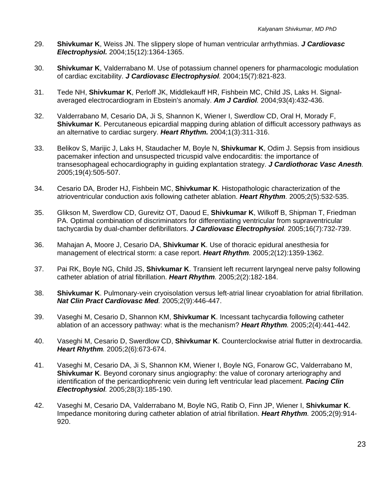- 29. **Shivkumar K**, Weiss JN. The slippery slope of human ventricular arrhythmias. *J Cardiovasc Electrophysiol.* 2004;15(12):1364-1365.
- 30. **Shivkumar K**, Valderrabano M. Use of potassium channel openers for pharmacologic modulation of cardiac excitability. *J Cardiovasc Electrophysiol.* 2004;15(7):821-823.
- 31. Tede NH, **Shivkumar K**, Perloff JK, Middlekauff HR, Fishbein MC, Child JS, Laks H. Signalaveraged electrocardiogram in Ebstein's anomaly. *Am J Cardiol.* 2004;93(4):432-436.
- 32. Valderrabano M, Cesario DA, Ji S, Shannon K, Wiener I, Swerdlow CD, Oral H, Morady F, **Shivkumar K**. Percutaneous epicardial mapping during ablation of difficult accessory pathways as an alternative to cardiac surgery. *Heart Rhythm.* 2004;1(3):311-316.
- 33. Belikov S, Marijic J, Laks H, Staudacher M, Boyle N, **Shivkumar K**, Odim J. Sepsis from insidious pacemaker infection and unsuspected tricuspid valve endocarditis: the importance of transesophageal echocardiography in guiding explantation strategy. *J Cardiothorac Vasc Anesth.*  2005;19(4):505-507.
- 34. Cesario DA, Broder HJ, Fishbein MC, **Shivkumar K**. Histopathologic characterization of the atrioventricular conduction axis following catheter ablation. *Heart Rhythm.* 2005;2(5):532-535.
- 35. Glikson M, Swerdlow CD, Gurevitz OT, Daoud E, **Shivkumar K**, Wilkoff B, Shipman T, Friedman PA. Optimal combination of discriminators for differentiating ventricular from supraventricular tachycardia by dual-chamber defibrillators. *J Cardiovasc Electrophysiol.* 2005;16(7):732-739.
- 36. Mahajan A, Moore J, Cesario DA, **Shivkumar K**. Use of thoracic epidural anesthesia for management of electrical storm: a case report. *Heart Rhythm.* 2005;2(12):1359-1362.
- 37. Pai RK, Boyle NG, Child JS, **Shivkumar K**. Transient left recurrent laryngeal nerve palsy following catheter ablation of atrial fibrillation. *Heart Rhythm.* 2005;2(2):182-184.
- 38. **Shivkumar K**. Pulmonary-vein cryoisolation versus left-atrial linear cryoablation for atrial fibrillation. *Nat Clin Pract Cardiovasc Med.* 2005;2(9):446-447.
- 39. Vaseghi M, Cesario D, Shannon KM, **Shivkumar K**. Incessant tachycardia following catheter ablation of an accessory pathway: what is the mechanism? *Heart Rhythm.* 2005;2(4):441-442.
- 40. Vaseghi M, Cesario D, Swerdlow CD, **Shivkumar K**. Counterclockwise atrial flutter in dextrocardia. *Heart Rhythm.* 2005;2(6):673-674.
- 41. Vaseghi M, Cesario DA, Ji S, Shannon KM, Wiener I, Boyle NG, Fonarow GC, Valderrabano M, **Shivkumar K**. Beyond coronary sinus angiography: the value of coronary arteriography and identification of the pericardiophrenic vein during left ventricular lead placement. *Pacing Clin Electrophysiol.* 2005;28(3):185-190.
- 42. Vaseghi M, Cesario DA, Valderrabano M, Boyle NG, Ratib O, Finn JP, Wiener I, **Shivkumar K**. Impedance monitoring during catheter ablation of atrial fibrillation. *Heart Rhythm.* 2005;2(9):914- 920.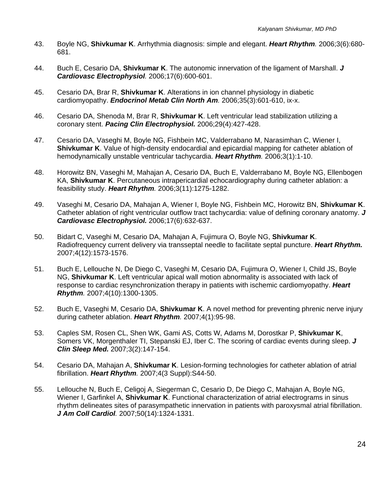- 43. Boyle NG, **Shivkumar K**. Arrhythmia diagnosis: simple and elegant. *Heart Rhythm.* 2006;3(6):680- 681.
- 44. Buch E, Cesario DA, **Shivkumar K**. The autonomic innervation of the ligament of Marshall. *J Cardiovasc Electrophysiol.* 2006;17(6):600-601.
- 45. Cesario DA, Brar R, **Shivkumar K**. Alterations in ion channel physiology in diabetic cardiomyopathy. *Endocrinol Metab Clin North Am.* 2006;35(3):601-610, ix-x.
- 46. Cesario DA, Shenoda M, Brar R, **Shivkumar K**. Left ventricular lead stabilization utilizing a coronary stent. *Pacing Clin Electrophysiol.* 2006;29(4):427-428.
- 47. Cesario DA, Vaseghi M, Boyle NG, Fishbein MC, Valderrabano M, Narasimhan C, Wiener I, **Shivkumar K**. Value of high-density endocardial and epicardial mapping for catheter ablation of hemodynamically unstable ventricular tachycardia. *Heart Rhythm.* 2006;3(1):1-10.
- 48. Horowitz BN, Vaseghi M, Mahajan A, Cesario DA, Buch E, Valderrabano M, Boyle NG, Ellenbogen KA, **Shivkumar K**. Percutaneous intrapericardial echocardiography during catheter ablation: a feasibility study. *Heart Rhythm.* 2006;3(11):1275-1282.
- 49. Vaseghi M, Cesario DA, Mahajan A, Wiener I, Boyle NG, Fishbein MC, Horowitz BN, **Shivkumar K**. Catheter ablation of right ventricular outflow tract tachycardia: value of defining coronary anatomy. *J Cardiovasc Electrophysiol.* 2006;17(6):632-637.
- 50. Bidart C, Vaseghi M, Cesario DA, Mahajan A, Fujimura O, Boyle NG, **Shivkumar K**. Radiofrequency current delivery via transseptal needle to facilitate septal puncture. *Heart Rhythm.* 2007;4(12):1573-1576.
- 51. Buch E, Lellouche N, De Diego C, Vaseghi M, Cesario DA, Fujimura O, Wiener I, Child JS, Boyle NG, **Shivkumar K**. Left ventricular apical wall motion abnormality is associated with lack of response to cardiac resynchronization therapy in patients with ischemic cardiomyopathy. *Heart Rhythm.* 2007;4(10):1300-1305.
- 52. Buch E, Vaseghi M, Cesario DA, **Shivkumar K**. A novel method for preventing phrenic nerve injury during catheter ablation. *Heart Rhythm.* 2007;4(1):95-98.
- 53. Caples SM, Rosen CL, Shen WK, Gami AS, Cotts W, Adams M, Dorostkar P, **Shivkumar K**, Somers VK, Morgenthaler TI, Stepanski EJ, Iber C. The scoring of cardiac events during sleep. *J Clin Sleep Med.* 2007;3(2):147-154.
- 54. Cesario DA, Mahajan A, **Shivkumar K**. Lesion-forming technologies for catheter ablation of atrial fibrillation. *Heart Rhythm.* 2007;4(3 Suppl):S44-50.
- 55. Lellouche N, Buch E, Celigoj A, Siegerman C, Cesario D, De Diego C, Mahajan A, Boyle NG, Wiener I, Garfinkel A, **Shivkumar K**. Functional characterization of atrial electrograms in sinus rhythm delineates sites of parasympathetic innervation in patients with paroxysmal atrial fibrillation. *J Am Coll Cardiol.* 2007;50(14):1324-1331.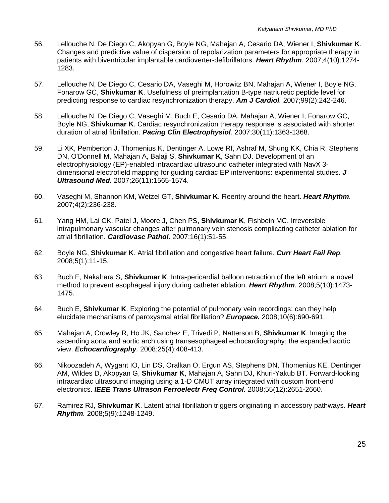- 56. Lellouche N, De Diego C, Akopyan G, Boyle NG, Mahajan A, Cesario DA, Wiener I, **Shivkumar K**. Changes and predictive value of dispersion of repolarization parameters for appropriate therapy in patients with biventricular implantable cardioverter-defibrillators. *Heart Rhythm.* 2007;4(10):1274- 1283.
- 57. Lellouche N, De Diego C, Cesario DA, Vaseghi M, Horowitz BN, Mahajan A, Wiener I, Boyle NG, Fonarow GC, **Shivkumar K**. Usefulness of preimplantation B-type natriuretic peptide level for predicting response to cardiac resynchronization therapy. *Am J Cardiol.* 2007;99(2):242-246.
- 58. Lellouche N, De Diego C, Vaseghi M, Buch E, Cesario DA, Mahajan A, Wiener I, Fonarow GC, Boyle NG, **Shivkumar K**. Cardiac resynchronization therapy response is associated with shorter duration of atrial fibrillation. *Pacing Clin Electrophysiol.* 2007;30(11):1363-1368.
- 59. Li XK, Pemberton J, Thomenius K, Dentinger A, Lowe RI, Ashraf M, Shung KK, Chia R, Stephens DN, O'Donnell M, Mahajan A, Balaji S, **Shivkumar K**, Sahn DJ. Development of an electrophysiology (EP)-enabled intracardiac ultrasound catheter integrated with NavX 3 dimensional electrofield mapping for guiding cardiac EP interventions: experimental studies. *J Ultrasound Med.* 2007;26(11):1565-1574.
- 60. Vaseghi M, Shannon KM, Wetzel GT, **Shivkumar K**. Reentry around the heart. *Heart Rhythm.*  2007;4(2):236-238.
- 61. Yang HM, Lai CK, Patel J, Moore J, Chen PS, **Shivkumar K**, Fishbein MC. Irreversible intrapulmonary vascular changes after pulmonary vein stenosis complicating catheter ablation for atrial fibrillation. *Cardiovasc Pathol.* 2007;16(1):51-55.
- 62. Boyle NG, **Shivkumar K**. Atrial fibrillation and congestive heart failure. *Curr Heart Fail Rep.*  2008;5(1):11-15.
- 63. Buch E, Nakahara S, **Shivkumar K**. Intra-pericardial balloon retraction of the left atrium: a novel method to prevent esophageal injury during catheter ablation. *Heart Rhythm.* 2008;5(10):1473- 1475.
- 64. Buch E, **Shivkumar K**. Exploring the potential of pulmonary vein recordings: can they help elucidate mechanisms of paroxysmal atrial fibrillation? *Europace.* 2008;10(6):690-691.
- 65. Mahajan A, Crowley R, Ho JK, Sanchez E, Trivedi P, Natterson B, **Shivkumar K**. Imaging the ascending aorta and aortic arch using transesophageal echocardiography: the expanded aortic view. *Echocardiography.* 2008;25(4):408-413.
- 66. Nikoozadeh A, Wygant IO, Lin DS, Oralkan O, Ergun AS, Stephens DN, Thomenius KE, Dentinger AM, Wildes D, Akopyan G, **Shivkumar K**, Mahajan A, Sahn DJ, Khuri-Yakub BT. Forward-looking intracardiac ultrasound imaging using a 1-D CMUT array integrated with custom front-end electronics. *IEEE Trans Ultrason Ferroelectr Freq Control.* 2008;55(12):2651-2660.
- 67. Ramirez RJ, **Shivkumar K**. Latent atrial fibrillation triggers originating in accessory pathways. *Heart Rhythm.* 2008;5(9):1248-1249.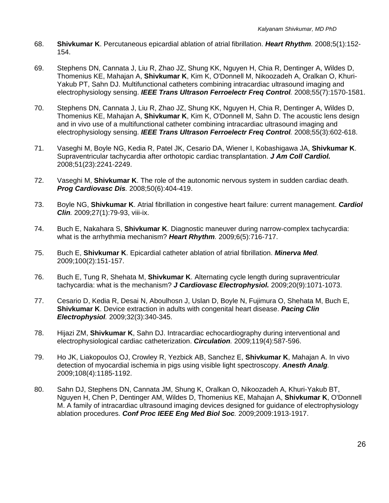- 68. **Shivkumar K**. Percutaneous epicardial ablation of atrial fibrillation. *Heart Rhythm.* 2008;5(1):152- 154.
- 69. Stephens DN, Cannata J, Liu R, Zhao JZ, Shung KK, Nguyen H, Chia R, Dentinger A, Wildes D, Thomenius KE, Mahajan A, **Shivkumar K**, Kim K, O'Donnell M, Nikoozadeh A, Oralkan O, Khuri-Yakub PT, Sahn DJ. Multifunctional catheters combining intracardiac ultrasound imaging and electrophysiology sensing. *IEEE Trans Ultrason Ferroelectr Freq Control.* 2008;55(7):1570-1581.
- 70. Stephens DN, Cannata J, Liu R, Zhao JZ, Shung KK, Nguyen H, Chia R, Dentinger A, Wildes D, Thomenius KE, Mahajan A, **Shivkumar K**, Kim K, O'Donnell M, Sahn D. The acoustic lens design and in vivo use of a multifunctional catheter combining intracardiac ultrasound imaging and electrophysiology sensing. *IEEE Trans Ultrason Ferroelectr Freq Control.* 2008;55(3):602-618.
- 71. Vaseghi M, Boyle NG, Kedia R, Patel JK, Cesario DA, Wiener I, Kobashigawa JA, **Shivkumar K**. Supraventricular tachycardia after orthotopic cardiac transplantation. *J Am Coll Cardiol.* 2008;51(23):2241-2249.
- 72. Vaseghi M, **Shivkumar K**. The role of the autonomic nervous system in sudden cardiac death. *Prog Cardiovasc Dis.* 2008;50(6):404-419.
- 73. Boyle NG, **Shivkumar K**. Atrial fibrillation in congestive heart failure: current management. *Cardiol Clin.* 2009;27(1):79-93, viii-ix.
- 74. Buch E, Nakahara S, **Shivkumar K**. Diagnostic maneuver during narrow-complex tachycardia: what is the arrhythmia mechanism? *Heart Rhythm.* 2009;6(5):716-717.
- 75. Buch E, **Shivkumar K**. Epicardial catheter ablation of atrial fibrillation. *Minerva Med.*  2009;100(2):151-157.
- 76. Buch E, Tung R, Shehata M, **Shivkumar K**. Alternating cycle length during supraventricular tachycardia: what is the mechanism? *J Cardiovasc Electrophysiol.* 2009;20(9):1071-1073.
- 77. Cesario D, Kedia R, Desai N, Aboulhosn J, Uslan D, Boyle N, Fujimura O, Shehata M, Buch E, **Shivkumar K**. Device extraction in adults with congenital heart disease. *Pacing Clin Electrophysiol.* 2009;32(3):340-345.
- 78. Hijazi ZM, **Shivkumar K**, Sahn DJ. Intracardiac echocardiography during interventional and electrophysiological cardiac catheterization. *Circulation.* 2009;119(4):587-596.
- 79. Ho JK, Liakopoulos OJ, Crowley R, Yezbick AB, Sanchez E, **Shivkumar K**, Mahajan A. In vivo detection of myocardial ischemia in pigs using visible light spectroscopy. *Anesth Analg.*  2009;108(4):1185-1192.
- 80. Sahn DJ, Stephens DN, Cannata JM, Shung K, Oralkan O, Nikoozadeh A, Khuri-Yakub BT, Nguyen H, Chen P, Dentinger AM, Wildes D, Thomenius KE, Mahajan A, **Shivkumar K**, O'Donnell M. A family of intracardiac ultrasound imaging devices designed for guidance of electrophysiology ablation procedures. *Conf Proc IEEE Eng Med Biol Soc.* 2009;2009:1913-1917.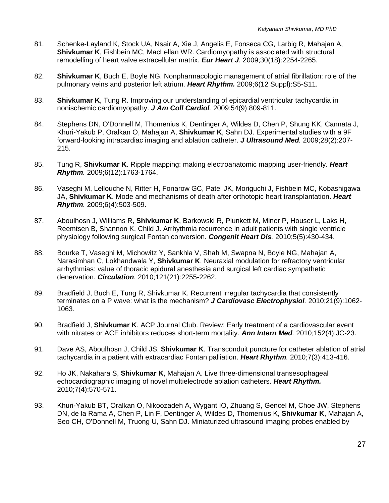- 81. Schenke-Layland K, Stock UA, Nsair A, Xie J, Angelis E, Fonseca CG, Larbig R, Mahajan A, **Shivkumar K**, Fishbein MC, MacLellan WR. Cardiomyopathy is associated with structural remodelling of heart valve extracellular matrix. *Eur Heart J.* 2009;30(18):2254-2265.
- 82. **Shivkumar K**, Buch E, Boyle NG. Nonpharmacologic management of atrial fibrillation: role of the pulmonary veins and posterior left atrium. *Heart Rhythm.* 2009;6(12 Suppl):S5-S11.
- 83. **Shivkumar K**, Tung R. Improving our understanding of epicardial ventricular tachycardia in nonischemic cardiomyopathy. *J Am Coll Cardiol.* 2009;54(9):809-811.
- 84. Stephens DN, O'Donnell M, Thomenius K, Dentinger A, Wildes D, Chen P, Shung KK, Cannata J, Khuri-Yakub P, Oralkan O, Mahajan A, **Shivkumar K**, Sahn DJ. Experimental studies with a 9F forward-looking intracardiac imaging and ablation catheter. *J Ultrasound Med.* 2009;28(2):207- 215.
- 85. Tung R, **Shivkumar K**. Ripple mapping: making electroanatomic mapping user-friendly. *Heart Rhythm.* 2009;6(12):1763-1764.
- 86. Vaseghi M, Lellouche N, Ritter H, Fonarow GC, Patel JK, Moriguchi J, Fishbein MC, Kobashigawa JA, **Shivkumar K**. Mode and mechanisms of death after orthotopic heart transplantation. *Heart Rhythm.* 2009;6(4):503-509.
- 87. Aboulhosn J, Williams R, **Shivkumar K**, Barkowski R, Plunkett M, Miner P, Houser L, Laks H, Reemtsen B, Shannon K, Child J. Arrhythmia recurrence in adult patients with single ventricle physiology following surgical Fontan conversion. *Congenit Heart Dis.* 2010;5(5):430-434.
- 88. Bourke T, Vaseghi M, Michowitz Y, Sankhla V, Shah M, Swapna N, Boyle NG, Mahajan A, Narasimhan C, Lokhandwala Y, **Shivkumar K**. Neuraxial modulation for refractory ventricular arrhythmias: value of thoracic epidural anesthesia and surgical left cardiac sympathetic denervation. *Circulation.* 2010;121(21):2255-2262.
- 89. Bradfield J, Buch E, Tung R, Shivkumar K. Recurrent irregular tachycardia that consistently terminates on a P wave: what is the mechanism? *J Cardiovasc Electrophysiol.* 2010;21(9):1062- 1063.
- 90. Bradfield J, **Shivkumar K**. ACP Journal Club. Review: Early treatment of a cardiovascular event with nitrates or ACE inhibitors reduces short-term mortality. *Ann Intern Med.* 2010;152(4):JC-23.
- 91. Dave AS, Aboulhosn J, Child JS, **Shivkumar K**. Transconduit puncture for catheter ablation of atrial tachycardia in a patient with extracardiac Fontan palliation. *Heart Rhythm.* 2010;7(3):413-416.
- 92. Ho JK, Nakahara S, **Shivkumar K**, Mahajan A. Live three-dimensional transesophageal echocardiographic imaging of novel multielectrode ablation catheters. *Heart Rhythm.* 2010;7(4):570-571.
- 93. Khuri-Yakub BT, Oralkan O, Nikoozadeh A, Wygant IO, Zhuang S, Gencel M, Choe JW, Stephens DN, de la Rama A, Chen P, Lin F, Dentinger A, Wildes D, Thomenius K, **Shivkumar K**, Mahajan A, Seo CH, O'Donnell M, Truong U, Sahn DJ. Miniaturized ultrasound imaging probes enabled by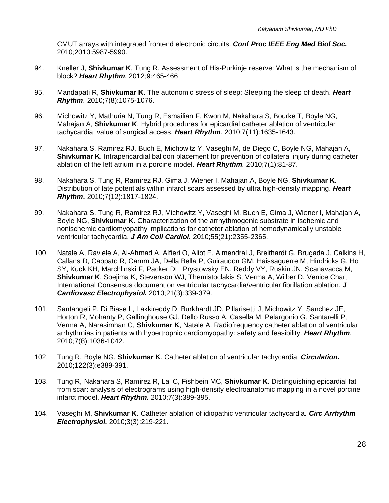CMUT arrays with integrated frontend electronic circuits. *Conf Proc IEEE Eng Med Biol Soc.* 2010;2010:5987-5990.

- 94. Kneller J, **Shivkumar K**, Tung R. Assessment of His-Purkinje reserve: What is the mechanism of block? *Heart Rhythm.* 2012;9:465-466
- 95. Mandapati R, **Shivkumar K**. The autonomic stress of sleep: Sleeping the sleep of death. *Heart Rhythm.* 2010;7(8):1075-1076.
- 96. Michowitz Y, Mathuria N, Tung R, Esmailian F, Kwon M, Nakahara S, Bourke T, Boyle NG, Mahajan A, **Shivkumar K**. Hybrid procedures for epicardial catheter ablation of ventricular tachycardia: value of surgical access. *Heart Rhythm.* 2010;7(11):1635-1643.
- 97. Nakahara S, Ramirez RJ, Buch E, Michowitz Y, Vaseghi M, de Diego C, Boyle NG, Mahajan A, **Shivkumar K**. Intrapericardial balloon placement for prevention of collateral injury during catheter ablation of the left atrium in a porcine model. *Heart Rhythm.* 2010;7(1):81-87.
- 98. Nakahara S, Tung R, Ramirez RJ, Gima J, Wiener I, Mahajan A, Boyle NG, **Shivkumar K**. Distribution of late potentials within infarct scars assessed by ultra high-density mapping. *Heart Rhythm.* 2010;7(12):1817-1824.
- 99. Nakahara S, Tung R, Ramirez RJ, Michowitz Y, Vaseghi M, Buch E, Gima J, Wiener I, Mahajan A, Boyle NG, **Shivkumar K**. Characterization of the arrhythmogenic substrate in ischemic and nonischemic cardiomyopathy implications for catheter ablation of hemodynamically unstable ventricular tachycardia. *J Am Coll Cardiol.* 2010;55(21):2355-2365.
- 100. Natale A, Raviele A, Al-Ahmad A, Alfieri O, Aliot E, Almendral J, Breithardt G, Brugada J, Calkins H, Callans D, Cappato R, Camm JA, Della Bella P, Guiraudon GM, Haissaguerre M, Hindricks G, Ho SY, Kuck KH, Marchlinski F, Packer DL, Prystowsky EN, Reddy VY, Ruskin JN, Scanavacca M, **Shivkumar K**, Soejima K, Stevenson WJ, Themistoclakis S, Verma A, Wilber D. Venice Chart International Consensus document on ventricular tachycardia/ventricular fibrillation ablation. *J Cardiovasc Electrophysiol.* 2010;21(3):339-379.
- 101. Santangeli P, Di Biase L, Lakkireddy D, Burkhardt JD, Pillarisetti J, Michowitz Y, Sanchez JE, Horton R, Mohanty P, Gallinghouse GJ, Dello Russo A, Casella M, Pelargonio G, Santarelli P, Verma A, Narasimhan C, **Shivkumar K**, Natale A. Radiofrequency catheter ablation of ventricular arrhythmias in patients with hypertrophic cardiomyopathy: safety and feasibility. *Heart Rhythm.*  2010;7(8):1036-1042.
- 102. Tung R, Boyle NG, **Shivkumar K**. Catheter ablation of ventricular tachycardia. *Circulation.* 2010;122(3):e389-391.
- 103. Tung R, Nakahara S, Ramirez R, Lai C, Fishbein MC, **Shivkumar K**. Distinguishing epicardial fat from scar: analysis of electrograms using high-density electroanatomic mapping in a novel porcine infarct model. *Heart Rhythm.* 2010;7(3):389-395.
- 104. Vaseghi M, **Shivkumar K**. Catheter ablation of idiopathic ventricular tachycardia. *Circ Arrhythm Electrophysiol.* 2010;3(3):219-221.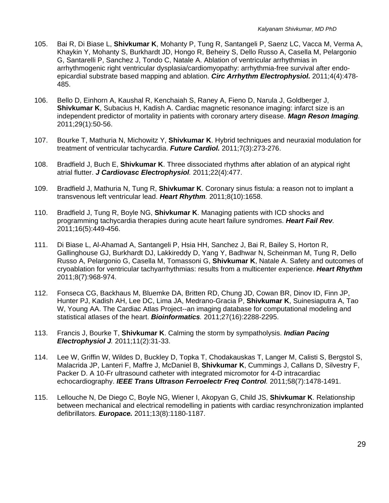- 105. Bai R, Di Biase L, **Shivkumar K**, Mohanty P, Tung R, Santangeli P, Saenz LC, Vacca M, Verma A, Khaykin Y, Mohanty S, Burkhardt JD, Hongo R, Beheiry S, Dello Russo A, Casella M, Pelargonio G, Santarelli P, Sanchez J, Tondo C, Natale A. Ablation of ventricular arrhythmias in arrhythmogenic right ventricular dysplasia/cardiomyopathy: arrhythmia-free survival after endoepicardial substrate based mapping and ablation. *Circ Arrhythm Electrophysiol.* 2011;4(4):478- 485.
- 106. Bello D, Einhorn A, Kaushal R, Kenchaiah S, Raney A, Fieno D, Narula J, Goldberger J, **Shivkumar K**, Subacius H, Kadish A. Cardiac magnetic resonance imaging: infarct size is an independent predictor of mortality in patients with coronary artery disease. *Magn Reson Imaging.*  2011;29(1):50-56.
- 107. Bourke T, Mathuria N, Michowitz Y, **Shivkumar K**. Hybrid techniques and neuraxial modulation for treatment of ventricular tachycardia. *Future Cardiol.* 2011;7(3):273-276.
- 108. Bradfield J, Buch E, **Shivkumar K**. Three dissociated rhythms after ablation of an atypical right atrial flutter. *J Cardiovasc Electrophysiol.* 2011;22(4):477.
- 109. Bradfield J, Mathuria N, Tung R, **Shivkumar K**. Coronary sinus fistula: a reason not to implant a transvenous left ventricular lead. *Heart Rhythm.* 2011;8(10):1658.
- 110. Bradfield J, Tung R, Boyle NG, **Shivkumar K**. Managing patients with ICD shocks and programming tachycardia therapies during acute heart failure syndromes. *Heart Fail Rev.*  2011;16(5):449-456.
- 111. Di Biase L, Al-Ahamad A, Santangeli P, Hsia HH, Sanchez J, Bai R, Bailey S, Horton R, Gallinghouse GJ, Burkhardt DJ, Lakkireddy D, Yang Y, Badhwar N, Scheinman M, Tung R, Dello Russo A, Pelargonio G, Casella M, Tomassoni G, **Shivkumar K**, Natale A. Safety and outcomes of cryoablation for ventricular tachyarrhythmias: results from a multicenter experience. *Heart Rhythm* 2011;8(7):968-974.
- 112. Fonseca CG, Backhaus M, Bluemke DA, Britten RD, Chung JD, Cowan BR, Dinov ID, Finn JP, Hunter PJ, Kadish AH, Lee DC, Lima JA, Medrano-Gracia P, **Shivkumar K**, Suinesiaputra A, Tao W, Young AA. The Cardiac Atlas Project--an imaging database for computational modeling and statistical atlases of the heart. *Bioinformatics.* 2011;27(16):2288-2295.
- 113. Francis J, Bourke T, **Shivkumar K**. Calming the storm by sympatholysis. *Indian Pacing Electrophysiol J.* 2011;11(2):31-33.
- 114. Lee W, Griffin W, Wildes D, Buckley D, Topka T, Chodakauskas T, Langer M, Calisti S, Bergstol S, Malacrida JP, Lanteri F, Maffre J, McDaniel B, **Shivkumar K**, Cummings J, Callans D, Silvestry F, Packer D. A 10-Fr ultrasound catheter with integrated micromotor for 4-D intracardiac echocardiography. *IEEE Trans Ultrason Ferroelectr Freq Control.* 2011;58(7):1478-1491.
- 115. Lellouche N, De Diego C, Boyle NG, Wiener I, Akopyan G, Child JS, **Shivkumar K**. Relationship between mechanical and electrical remodelling in patients with cardiac resynchronization implanted defibrillators. *Europace.* 2011;13(8):1180-1187.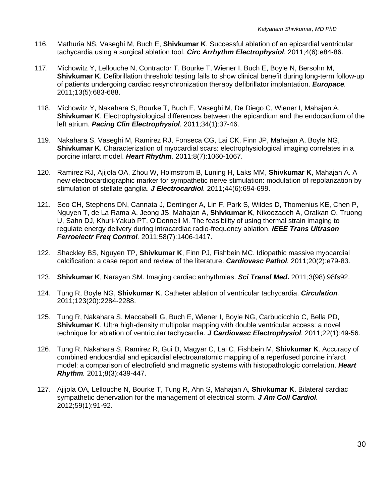- 116. Mathuria NS, Vaseghi M, Buch E, **Shivkumar K**. Successful ablation of an epicardial ventricular tachycardia using a surgical ablation tool. *Circ Arrhythm Electrophysiol.* 2011;4(6):e84-86.
- 117. Michowitz Y, Lellouche N, Contractor T, Bourke T, Wiener I, Buch E, Boyle N, Bersohn M, **Shivkumar K**. Defibrillation threshold testing fails to show clinical benefit during long-term follow-up of patients undergoing cardiac resynchronization therapy defibrillator implantation. *Europace.*  2011;13(5):683-688.
- 118. Michowitz Y, Nakahara S, Bourke T, Buch E, Vaseghi M, De Diego C, Wiener I, Mahajan A, **Shivkumar K**. Electrophysiological differences between the epicardium and the endocardium of the left atrium. *Pacing Clin Electrophysiol.* 2011;34(1):37-46.
- 119. Nakahara S, Vaseghi M, Ramirez RJ, Fonseca CG, Lai CK, Finn JP, Mahajan A, Boyle NG, **Shivkumar K**. Characterization of myocardial scars: electrophysiological imaging correlates in a porcine infarct model. *Heart Rhythm.* 2011;8(7):1060-1067.
- 120. Ramirez RJ, Ajijola OA, Zhou W, Holmstrom B, Luning H, Laks MM, **Shivkumar K**, Mahajan A. A new electrocardiographic marker for sympathetic nerve stimulation: modulation of repolarization by stimulation of stellate ganglia. *J Electrocardiol.* 2011;44(6):694-699.
- 121. Seo CH, Stephens DN, Cannata J, Dentinger A, Lin F, Park S, Wildes D, Thomenius KE, Chen P, Nguyen T, de La Rama A, Jeong JS, Mahajan A, **Shivkumar K**, Nikoozadeh A, Oralkan O, Truong U, Sahn DJ, Khuri-Yakub PT, O'Donnell M. The feasibility of using thermal strain imaging to regulate energy delivery during intracardiac radio-frequency ablation. *IEEE Trans Ultrason Ferroelectr Freq Control.* 2011;58(7):1406-1417.
- 122. Shackley BS, Nguyen TP, **Shivkumar K**, Finn PJ, Fishbein MC. Idiopathic massive myocardial calcification: a case report and review of the literature. *Cardiovasc Pathol.* 2011;20(2):e79-83.
- 123. **Shivkumar K**, Narayan SM. Imaging cardiac arrhythmias. *Sci Transl Med.* 2011;3(98):98fs92.
- 124. Tung R, Boyle NG, **Shivkumar K**. Catheter ablation of ventricular tachycardia. *Circulation.*  2011;123(20):2284-2288.
- 125. Tung R, Nakahara S, Maccabelli G, Buch E, Wiener I, Boyle NG, Carbucicchio C, Bella PD, **Shivkumar K**. Ultra high-density multipolar mapping with double ventricular access: a novel technique for ablation of ventricular tachycardia. *J Cardiovasc Electrophysiol.* 2011;22(1):49-56.
- 126. Tung R, Nakahara S, Ramirez R, Gui D, Magyar C, Lai C, Fishbein M, **Shivkumar K**. Accuracy of combined endocardial and epicardial electroanatomic mapping of a reperfused porcine infarct model: a comparison of electrofield and magnetic systems with histopathologic correlation. *Heart Rhythm.* 2011;8(3):439-447.
- 127. Ajijola OA, Lellouche N, Bourke T, Tung R, Ahn S, Mahajan A, **Shivkumar K**. Bilateral cardiac sympathetic denervation for the management of electrical storm. *J Am Coll Cardiol.*  2012;59(1):91-92.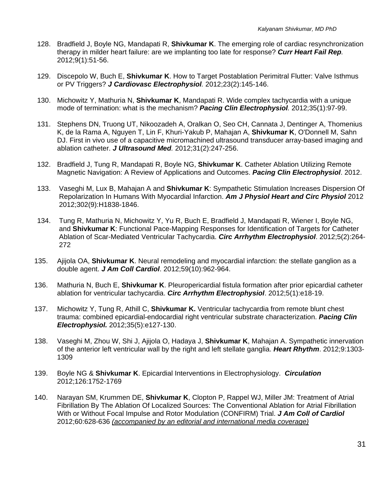- 128. Bradfield J, Boyle NG, Mandapati R, **Shivkumar K**. The emerging role of cardiac resynchronization therapy in milder heart failure: are we implanting too late for response? *Curr Heart Fail Rep.*  2012;9(1):51-56.
- 129. Discepolo W, Buch E, **Shivkumar K**. How to Target Postablation Perimitral Flutter: Valve Isthmus or PV Triggers? *J Cardiovasc Electrophysiol.* 2012;23(2):145-146.
- 130. Michowitz Y, Mathuria N, **Shivkumar K**, Mandapati R. Wide complex tachycardia with a unique mode of termination: what is the mechanism? *Pacing Clin Electrophysiol.* 2012;35(1):97-99.
- 131. Stephens DN, Truong UT, Nikoozadeh A, Oralkan O, Seo CH, Cannata J, Dentinger A, Thomenius K, de la Rama A, Nguyen T, Lin F, Khuri-Yakub P, Mahajan A, **Shivkumar K**, O'Donnell M, Sahn DJ. First in vivo use of a capacitive micromachined ultrasound transducer array-based imaging and ablation catheter. *J Ultrasound Med.* 2012;31(2):247-256.
- 132. Bradfield J, Tung R, Mandapati R, Boyle NG, **Shivkumar K**. Catheter Ablation Utilizing Remote Magnetic Navigation: A Review of Applications and Outcomes. *Pacing Clin Electrophysiol*. 2012.
- 133. Vaseghi M, Lux B, Mahajan A and **Shivkumar K**: Sympathetic Stimulation Increases Dispersion Of Repolarization In Humans With Myocardial Infarction. *Am J Physiol Heart and Circ Physiol* 2012 2012;302(9):H1838-1846.
- 134. Tung R, Mathuria N, Michowitz Y, Yu R, Buch E, Bradfield J, Mandapati R, Wiener I, Boyle NG, and **Shivkumar K**: Functional Pace-Mapping Responses for Identification of Targets for Catheter Ablation of Scar-Mediated Ventricular Tachycardia. *Circ Arrhythm Electrophysiol*. 2012;5(2):264- 272
- 135. Ajijola OA, **Shivkumar K**. Neural remodeling and myocardial infarction: the stellate ganglion as a double agent. *J Am Coll Cardiol*. 2012;59(10):962-964.
- 136. Mathuria N, Buch E, **Shivkumar K**. Pleuropericardial fistula formation after prior epicardial catheter ablation for ventricular tachycardia. *Circ Arrhythm Electrophysiol*. 2012;5(1):e18-19.
- 137. Michowitz Y, Tung R, Athill C, **Shivkumar K.** Ventricular tachycardia from remote blunt chest trauma: combined epicardial-endocardial right ventricular substrate characterization. *Pacing Clin Electrophysiol.* 2012;35(5):e127-130.
- 138. Vaseghi M, Zhou W, Shi J, Ajijola O, Hadaya J, **Shivkumar K**, Mahajan A. Sympathetic innervation of the anterior left ventricular wall by the right and left stellate ganglia. *Heart Rhythm*. 2012;9:1303- 1309
- 139. Boyle NG & **Shivkumar K**. Epicardial Interventions in Electrophysiology. *Circulation* 2012;126:1752-1769
- 140. Narayan SM, Krummen DE, **Shivkumar K**, Clopton P, Rappel WJ, Miller JM: Treatment of Atrial Fibrillation By The Ablation Of Localized Sources: The Conventional Ablation for Atrial Fibrillation With or Without Focal Impulse and Rotor Modulation (CONFIRM) Trial. *J Am Coll of Cardiol* 2012;60:628-636 *(accompanied by an editorial and international media coverage)*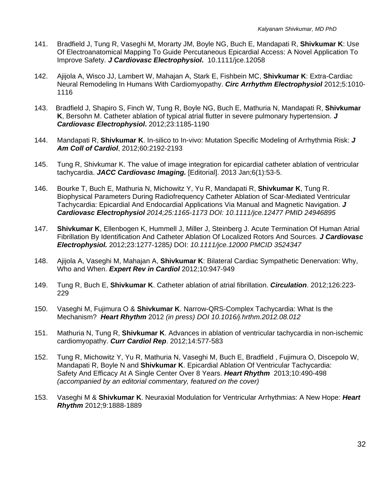- 141. Bradfield J, Tung R, Vaseghi M, Morarty JM, Boyle NG, Buch E, Mandapati R, **Shivkumar K**: Use Of Electroanatomical Mapping To Guide Percutaneous Epicardial Access: A Novel Application To Improve Safety. *J Cardiovasc Electrophysiol***.** 10.1111/jce.12058
- 142. Ajijola A, Wisco JJ, Lambert W, Mahajan A, Stark E, Fishbein MC, **Shivkumar K**: Extra-Cardiac Neural Remodeling In Humans With Cardiomyopathy. *Circ Arrhythm Electrophysiol* 2012;5:1010- 1116
- 143. Bradfield J, Shapiro S, Finch W, Tung R, Boyle NG, Buch E, Mathuria N, Mandapati R, **Shivkumar K**, Bersohn M. Catheter ablation of typical atrial flutter in severe pulmonary hypertension. *J Cardiovasc Electrophysiol***.** 2012;23:1185-1190
- 144. Mandapati R, **Shivkumar K**. In-silico to In-vivo: Mutation Specific Modeling of Arrhythmia Risk: *J Am Coll of Cardiol*, 2012;60:2192-2193
- 145. Tung R, Shivkumar K. The value of image integration for epicardial catheter ablation of ventricular tachycardia. *JACC Cardiovasc Imaging.* [Editorial]. 2013 Jan;6(1):53-5.
- 146. Bourke T, Buch E, Mathuria N, Michowitz Y, Yu R, Mandapati R, **Shivkumar K**, Tung R. Biophysical Parameters During Radiofrequency Catheter Ablation of Scar-Mediated Ventricular Tachycardia: Epicardial And Endocardial Applications Via Manual and Magnetic Navigation. *J Cardiovasc Electrophysiol 2014;25:1165-1173 DOI: 10.1111/jce.12477 PMID 24946895*
- 147. **Shivkumar K**, Ellenbogen K, Hummell J, Miller J, Steinberg J. Acute Termination Of Human Atrial Fibrillation By Identification And Catheter Ablation Of Localized Rotors And Sources. *J Cardiovasc Electrophysiol.* 2012;23:1277-1285*)* DOI: *10.1111/jce.12000 PMCID 3524347*
- 148. Ajijola A, Vaseghi M, Mahajan A, **Shivkumar K**: Bilateral Cardiac Sympathetic Denervation: Why, Who and When. *Expert Rev in Cardiol* 2012;10:947-949
- 149. Tung R, Buch E, **Shivkumar K**. Catheter ablation of atrial fibrillation. *Circulation*. 2012;126:223- 229
- 150. Vaseghi M, Fujimura O & **Shivkumar K**. Narrow-QRS-Complex Tachycardia: What Is the Mechanism? *Heart Rhythm* 2012 *(in press) DOI 10.1016/j.hrthm.2012.08.012*
- 151. Mathuria N, Tung R, **Shivkumar K**. Advances in ablation of ventricular tachycardia in non-ischemic cardiomyopathy. *Curr Cardiol Rep*. 2012;14:577-583
- 152. Tung R, Michowitz Y, Yu R, Mathuria N, Vaseghi M, Buch E, Bradfield , Fujimura O, Discepolo W, Mandapati R, Boyle N and **Shivkumar K**. Epicardial Ablation Of Ventricular Tachycardia: Safety And Efficacy At A Single Center Over 8 Years. *Heart Rhythm* 2013;10:490-498 *(accompanied by an editorial commentary, featured on the cover)*
- 153. Vaseghi M & **Shivkumar K**. Neuraxial Modulation for Ventricular Arrhythmias: A New Hope: *Heart Rhythm* 2012;9:1888-1889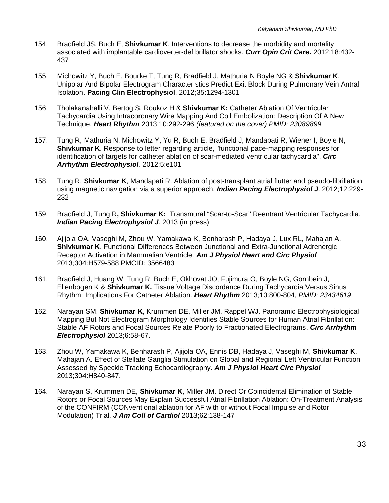- 154. Bradfield JS, Buch E, **Shivkumar K**. Interventions to decrease the morbidity and mortality associated with implantable cardioverter-defibrillator shocks. *Curr Opin Crit Care***.** 2012;18:432- 437
- 155. Michowitz Y, Buch E, Bourke T, Tung R, Bradfield J, Mathuria N Boyle NG & **Shivkumar K**. Unipolar And Bipolar Electrogram Characteristics Predict Exit Block During Pulmonary Vein Antral Isolation. **Pacing Clin Electrophysiol**. 2012;35:1294-1301
- 156. Tholakanahalli V, Bertog S, Roukoz H & **Shivkumar K:** Catheter Ablation Of Ventricular Tachycardia Using Intracoronary Wire Mapping And Coil Embolization: Description Of A New Technique. *Heart Rhythm* 2013;10:292-296 *(featured on the cover) PMID: 23089899*
- 157.Tung R, Mathuria N, Michowitz Y, Yu R, Buch E, Bradfield J, Mandapati R, Wiener I, Boyle N, **Shivkumar K**. Response to letter regarding article, "functional pace-mapping responses for identification of targets for catheter ablation of scar-mediated ventricular tachycardia". *Circ Arrhythm Electrophysiol*. 2012;5:e101
- 158. Tung R, **Shivkumar K**, Mandapati R. Ablation of post-transplant atrial flutter and pseudo-fibrillation using magnetic navigation via a superior approach. *Indian Pacing Electrophysiol J*. 2012;12:229- 232
- 159. Bradfield J, Tung R**, Shivkumar K:** Transmural "Scar-to-Scar" Reentrant Ventricular Tachycardia. *Indian Pacing Electrophysiol J*. 2013 (in press)
- 160. Ajijola OA, Vaseghi M, Zhou W, Yamakawa K, Benharash P, Hadaya J, Lux RL, Mahajan A, **Shivkumar K**. Functional Differences Between Junctional and Extra-Junctional Adrenergic Receptor Activation in Mammalian Ventricle. *Am J Physiol Heart and Circ Physiol*  2013;304:H579-588 PMCID: 3566483
- 161. Bradfield J, Huang W, Tung R, Buch E, Okhovat JO, Fujimura O, Boyle NG, Gornbein J, Ellenbogen K & **Shivkumar K.** Tissue Voltage Discordance During Tachycardia Versus Sinus Rhythm: Implications For Catheter Ablation. *Heart Rhythm* 2013;10:800-804, *PMID: 23434619*
- 162. Narayan SM, **Shivkumar K**, Krummen DE, Miller JM, Rappel WJ. Panoramic Electrophysiological Mapping But Not Electrogram Morphology Identifies Stable Sources for Human Atrial Fibrillation: Stable AF Rotors and Focal Sources Relate Poorly to Fractionated Electrograms. *Circ Arrhythm Electrophysiol* 2013;6:58-67.
- 163. Zhou W, Yamakawa K, Benharash P, Ajijola OA, Ennis DB, Hadaya J, Vaseghi M, **Shivkumar K**, Mahajan A. Effect of Stellate Ganglia Stimulation on Global and Regional Left Ventricular Function Assessed by Speckle Tracking Echocardiography. *Am J Physiol Heart Circ Physiol* 2013;304:H840-847.
- 164. Narayan S, Krummen DE, **Shivkumar K**, Miller JM. Direct Or Coincidental Elimination of Stable Rotors or Focal Sources May Explain Successful Atrial Fibrillation Ablation: On-Treatment Analysis of the CONFIRM (CONventional ablation for AF with or without Focal Impulse and Rotor Modulation) Trial. *J Am Coll of Cardiol* 2013;62:138-147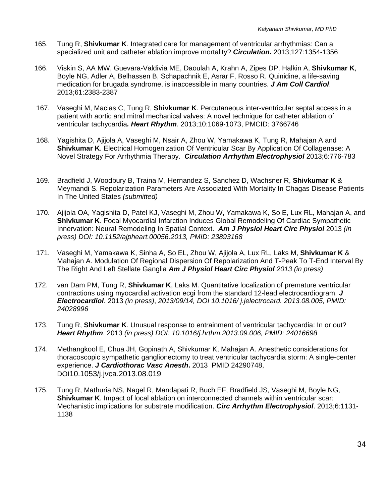- 165. Tung R, **Shivkumar K**. Integrated care for management of ventricular arrhythmias: Can a specialized unit and catheter ablation improve mortality? *Circulation***.** 2013;127:1354-1356
- 166. Viskin S, AA MW, Guevara-Valdivia ME, Daoulah A, Krahn A, Zipes DP, Halkin A, **Shivkumar K**, Boyle NG, Adler A, Belhassen B, Schapachnik E, Asrar F, Rosso R. Quinidine, a life-saving medication for brugada syndrome, is inaccessible in many countries. *J Am Coll Cardiol*. 2013;61:2383-2387
- 167. Vaseghi M, Macias C, Tung R, **Shivkumar K**. Percutaneous inter-ventricular septal access in a patient with aortic and mitral mechanical valves: A novel technique for catheter ablation of ventricular tachycardia*. Heart Rhythm*. 2013;10:1069-1073, PMCID: 3766746
- 168. Yagishita D, Ajijola A, Vaseghi M, Nsair A, Zhou W, Yamakawa K, Tung R, Mahajan A and **Shivkumar K**. Electrical Homogenization Of Ventricular Scar By Application Of Collagenase: A Novel Strategy For Arrhythmia Therapy. *Circulation Arrhythm Electrophysiol* 2013;6:776-783
- 169. Bradfield J, Woodbury B, Traina M, Hernandez S, Sanchez D, Wachsner R, **Shivkumar K** & Meymandi S. Repolarization Parameters Are Associated With Mortality In Chagas Disease Patients In The United States *(submitted)*
- 170. Ajijola OA, Yagishita D, Patel KJ, Vaseghi M, Zhou W, Yamakawa K, So E, Lux RL, Mahajan A, and **Shivkumar K**. Focal Myocardial Infarction Induces Global Remodeling Of Cardiac Sympathetic Innervation: Neural Remodeling In Spatial Context. *Am J Physiol Heart Circ Physiol* 2013 *(in press) DOI: 10.1152/ajpheart.00056.2013, PMID: 23893168*
- 171. Vaseghi M, Yamakawa K, Sinha A, So EL, Zhou W, Ajijola A, Lux RL, Laks M, **Shivkumar K** & Mahajan A. Modulation Of Regional Dispersion Of Repolarization And T-Peak To T-End Interval By The Right And Left Stellate Ganglia *Am J Physiol Heart Circ Physiol 2013 (in press)*
- 172. van Dam PM, Tung R, **Shivkumar K**, Laks M. Quantitative localization of premature ventricular contractions using myocardial activation ecgi from the standard 12-lead electrocardiogram. *J Electrocardiol*. 2013 *(in press)*, *2013/09/14, DOI 10.1016/ j.jelectrocard. 2013.08.005, PMID: 24028996*
- 173. Tung R, **Shivkumar K**. Unusual response to entrainment of ventricular tachycardia: In or out? *Heart Rhythm*. 2013 *(in press) DOI: 10.1016/j.hrthm.2013.09.006, PMID: 24016698*
- 174. Methangkool E, Chua JH, Gopinath A, Shivkumar K, Mahajan A. Anesthetic considerations for thoracoscopic sympathetic ganglionectomy to treat ventricular tachycardia storm: A single-center experience. *J Cardiothorac Vasc Anesth***.** 2013 PMID 24290748, DOI10.1053/j.jvca.2013.08.019
- 175. Tung R, Mathuria NS, Nagel R, Mandapati R, Buch EF, Bradfield JS, Vaseghi M, Boyle NG, **Shivkumar K**. Impact of local ablation on interconnected channels within ventricular scar: Mechanistic implications for substrate modification. *Circ Arrhythm Electrophysiol*. 2013;6:1131- 1138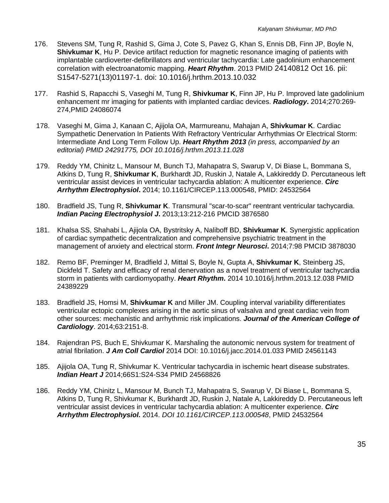- 176. Stevens SM, Tung R, Rashid S, Gima J, Cote S, Pavez G, Khan S, Ennis DB, Finn JP, Boyle N, **Shivkumar K**, Hu P. Device artifact reduction for magnetic resonance imaging of patients with implantable cardioverter-defibrillators and ventricular tachycardia: Late gadolinium enhancement correlation with electroanatomic mapping. *Heart Rhythm*. 2013 PMID 24140812 Oct 16. pii: S1547-5271(13)01197-1. doi: 10.1016/j.hrthm.2013.10.032
- 177. Rashid S, Rapacchi S, Vaseghi M, Tung R, **Shivkumar K**, Finn JP, Hu P. Improved late gadolinium enhancement mr imaging for patients with implanted cardiac devices. *Radiology***.** 2014;270:269- 274,PMID 24086074
- 178. Vaseghi M, Gima J, Kanaan C, Ajijola OA, Marmureanu, Mahajan A, **Shivkumar K**. Cardiac Sympathetic Denervation In Patients With Refractory Ventricular Arrhythmias Or Electrical Storm: Intermediate And Long Term Follow Up. *Heart Rhythm 2013 (in press, accompanied by an editorial) PMID 24291775, DOI 10.1016/j.hrthm.2013.11.028*
- 179. Reddy YM, Chinitz L, Mansour M, Bunch TJ, Mahapatra S, Swarup V, Di Biase L, Bommana S, Atkins D, Tung R, **Shivkumar K**, Burkhardt JD, Ruskin J, Natale A, Lakkireddy D. Percutaneous left ventricular assist devices in ventricular tachycardia ablation: A multicenter experience. *Circ Arrhythm Electrophysiol***.** 2014; 10.1161/CIRCEP.113.000548, PMID: 24532564
- 180. Bradfield JS, Tung R, **Shivkumar K**. Transmural "scar-to-scar" reentrant ventricular tachycardia. *Indian Pacing Electrophysiol J***.** 2013;13:212-216 PMCID 3876580
- 181. Khalsa SS, Shahabi L, Ajijola OA, Bystritsky A, Naliboff BD, **Shivkumar K**. Synergistic application of cardiac sympathetic decentralization and comprehensive psychiatric treatment in the management of anxiety and electrical storm. *Front Integr Neurosci***.** 2014;7:98 PMCID 3878030
- 182. Remo BF, Preminger M, Bradfield J, Mittal S, Boyle N, Gupta A, **Shivkumar K**, Steinberg JS, Dickfeld T. Safety and efficacy of renal denervation as a novel treatment of ventricular tachycardia storm in patients with cardiomyopathy. *Heart Rhythm***.** 2014 10.1016/j.hrthm.2013.12.038 PMID 24389229
- 183. Bradfield JS, Homsi M, **Shivkumar K** and Miller JM. Coupling interval variability differentiates ventricular ectopic complexes arising in the aortic sinus of valsalva and great cardiac vein from other sources: mechanistic and arrhythmic risk implications. *Journal of the American College of Cardiology*. 2014;63:2151-8.
- 184. Rajendran PS, Buch E, Shivkumar K. Marshaling the autonomic nervous system for treatment of atrial fibrilation. *J Am Coll Cardiol* 2014 DOI: 10.1016/j.jacc.2014.01.033 PMID 24561143
- 185. Ajijola OA, Tung R, Shivkumar K. Ventricular tachycardia in ischemic heart disease substrates. *Indian Heart J* 2014;66S1:S24-S34 PMID 24568826
- 186. Reddy YM, Chinitz L, Mansour M, Bunch TJ, Mahapatra S, Swarup V, Di Biase L, Bommana S, Atkins D, Tung R, Shivkumar K, Burkhardt JD, Ruskin J, Natale A, Lakkireddy D. Percutaneous left ventricular assist devices in ventricular tachycardia ablation: A multicenter experience. *Circ Arrhythm Electrophysiol.* 2014. *DOI 10.1161/CIRCEP.113.000548*, PMID 24532564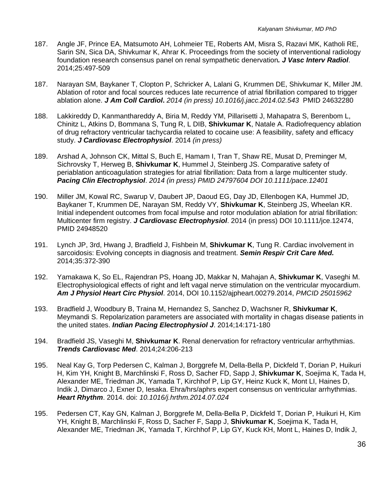- 187. Angle JF, Prince EA, Matsumoto AH, Lohmeier TE, Roberts AM, Misra S, Razavi MK, Katholi RE, Sarin SN, Sica DA, Shivkumar K, Ahrar K. Proceedings from the society of interventional radiology foundation research consensus panel on renal sympathetic denervation*. J Vasc Interv Radiol*. 2014;25:497-509
- 187. Narayan SM, Baykaner T, Clopton P, Schricker A, Lalani G, Krummen DE, Shivkumar K, Miller JM. Ablation of rotor and focal sources reduces late recurrence of atrial fibrillation compared to trigger ablation alone. *J Am Coll Cardiol***.** *2014 (in press) 10.1016/j.jacc.2014.02.543* PMID 24632280
- 188. Lakkireddy D, Kanmanthareddy A, Biria M, Reddy YM, Pillarisetti J, Mahapatra S, Berenbom L, Chinitz L, Atkins D, Bommana S, Tung R, L DIB, **Shivkumar K**, Natale A. Radiofrequency ablation of drug refractory ventricular tachycardia related to cocaine use: A feasibility, safety and efficacy study. *J Cardiovasc Electrophysiol*. 2014 *(in press)*
- 189. Arshad A, Johnson CK, Mittal S, Buch E, Hamam I, Tran T, Shaw RE, Musat D, Preminger M, Sichrovsky T, Herweg B, **Shivkumar K**, Hummel J, Steinberg JS. Comparative safety of periablation anticoagulation strategies for atrial fibrillation: Data from a large multicenter study. *Pacing Clin Electrophysiol*. *2014 (in press) PMID 24797604 DOI 10.1111/pace.12401*
- 190. Miller JM, Kowal RC, Swarup V, Daubert JP, Daoud EG, Day JD, Ellenbogen KA, Hummel JD, Baykaner T, Krummen DE, Narayan SM, Reddy VY, **Shivkumar K**, Steinberg JS, Wheelan KR. Initial independent outcomes from focal impulse and rotor modulation ablation for atrial fibrillation: Multicenter firm registry. *J Cardiovasc Electrophysiol*. 2014 (in press) DOI 10.1111/jce.12474, PMID 24948520
- 191. Lynch JP, 3rd, Hwang J, Bradfield J, Fishbein M, **Shivkumar K**, Tung R. Cardiac involvement in sarcoidosis: Evolving concepts in diagnosis and treatment. *Semin Respir Crit Care Med.* 2014;35:372-390
- 192. Yamakawa K, So EL, Rajendran PS, Hoang JD, Makkar N, Mahajan A, **Shivkumar K**, Vaseghi M. Electrophysiological effects of right and left vagal nerve stimulation on the ventricular myocardium. *Am J Physiol Heart Circ Physiol*. 2014, DOI 10.1152/ajpheart.00279.2014, *PMCID 25015962*
- 193. Bradfield J, Woodbury B, Traina M, Hernandez S, Sanchez D, Wachsner R, **Shivkumar K**, Meymandi S. Repolarization parameters are associated with mortality in chagas disease patients in the united states. *Indian Pacing Electrophysiol J*. 2014;14:171-180
- 194. Bradfield JS, Vaseghi M, **Shivkumar K**. Renal denervation for refractory ventricular arrhythmias. *Trends Cardiovasc Med*. 2014;24:206-213
- 195. Neal Kay G, Torp Pedersen C, Kalman J, Borggrefe M, Della-Bella P, Dickfeld T, Dorian P, Huikuri H, Kim YH, Knight B, Marchlinski F, Ross D, Sacher FD, Sapp J, **Shivkumar K**, Soejima K, Tada H, Alexander ME, Triedman JK, Yamada T, Kirchhof P, Lip GY, Heinz Kuck K, Mont LI, Haines D, Indik J, Dimarco J, Exner D, Iesaka. Ehra/hrs/aphrs expert consensus on ventricular arrhythmias. *Heart Rhythm*. 2014. doi: *10.1016/j.hrthm.2014.07.024*
- 195. Pedersen CT, Kay GN, Kalman J, Borggrefe M, Della-Bella P, Dickfeld T, Dorian P, Huikuri H, Kim YH, Knight B, Marchlinski F, Ross D, Sacher F, Sapp J, **Shivkumar K**, Soejima K, Tada H, Alexander ME, Triedman JK, Yamada T, Kirchhof P, Lip GY, Kuck KH, Mont L, Haines D, Indik J,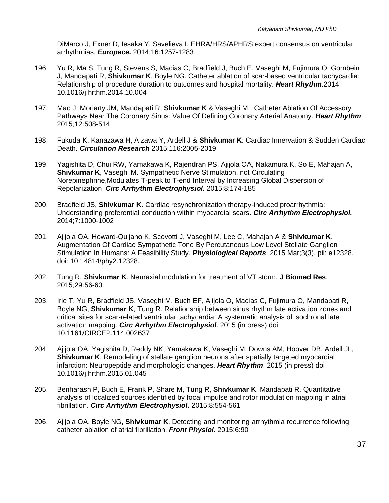DiMarco J, Exner D, Iesaka Y, Savelieva I. EHRA/HRS/APHRS expert consensus on ventricular arrhythmias. *Europace.* 2014;16:1257-1283

- 196. Yu R, Ma S, Tung R, Stevens S, Macias C, Bradfield J, Buch E, Vaseghi M, Fujimura O, Gornbein J, Mandapati R, **Shivkumar K**, Boyle NG. Catheter ablation of scar-based ventricular tachycardia: Relationship of procedure duration to outcomes and hospital mortality. *Heart Rhythm*.2014 10.1016/j.hrthm.2014.10.004
- 197. Mao J, Moriarty JM, Mandapati R, **Shivkumar K** & Vaseghi M. Catheter Ablation Of Accessory Pathways Near The Coronary Sinus: Value Of Defining Coronary Arterial Anatomy. *Heart Rhythm*  2015;12:508-514
- 198. Fukuda K, Kanazawa H, Aizawa Y, Ardell J & **Shivkumar K**: Cardiac Innervation & Sudden Cardiac Death. *Circulation Research* 2015;116:2005-2019
- 199. Yagishita D, Chui RW, Yamakawa K, Rajendran PS, Ajijola OA, Nakamura K, So E, Mahajan A, **Shivkumar K**, Vaseghi M. Sympathetic Nerve Stimulation, not Circulating Norepinephrine,Modulates T-peak to T-end Interval by Increasing Global Dispersion of Repolarization *Circ Arrhythm Electrophysiol***.** 2015;8:174-185
- 200. Bradfield JS, **Shivkumar K**. Cardiac resynchronization therapy-induced proarrhythmia: Understanding preferential conduction within myocardial scars. *Circ Arrhythm Electrophysiol.*  2014;7:1000-1002
- 201. Ajijola OA, Howard-Quijano K, Scovotti J, Vaseghi M, Lee C, Mahajan A & **Shivkumar K**. Augmentation Of Cardiac Sympathetic Tone By Percutaneous Low Level Stellate Ganglion Stimulation In Humans: A Feasibility Study. *Physiological Reports* 2015 Mar;3(3). pii: e12328. doi: 10.14814/phy2.12328.
- 202. Tung R, **Shivkumar K**. Neuraxial modulation for treatment of VT storm. **J Biomed Res**. 2015;29:56-60
- 203. Irie T, Yu R, Bradfield JS, Vaseghi M, Buch EF, Ajijola O, Macias C, Fujimura O, Mandapati R, Boyle NG, **Shivkumar K**, Tung R. Relationship between sinus rhythm late activation zones and critical sites for scar-related ventricular tachycardia: A systematic analysis of isochronal late activation mapping. *Circ Arrhythm Electrophysiol*. 2015 (in press) doi 10.1161/CIRCEP.114.002637
- 204. Ajijola OA, Yagishita D, Reddy NK, Yamakawa K, Vaseghi M, Downs AM, Hoover DB, Ardell JL, **Shivkumar K**. Remodeling of stellate ganglion neurons after spatially targeted myocardial infarction: Neuropeptide and morphologic changes. *Heart Rhythm*. 2015 (in press) doi 10.1016/j.hrthm.2015.01.045
- 205. Benharash P, Buch E, Frank P, Share M, Tung R, **Shivkumar K**, Mandapati R. Quantitative analysis of localized sources identified by focal impulse and rotor modulation mapping in atrial fibrillation. *Circ Arrhythm Electrophysiol***.** 2015;8:554-561
- 206. Ajijola OA, Boyle NG, **Shivkumar K**. Detecting and monitoring arrhythmia recurrence following catheter ablation of atrial fibrillation. *Front Physiol*. 2015;6:90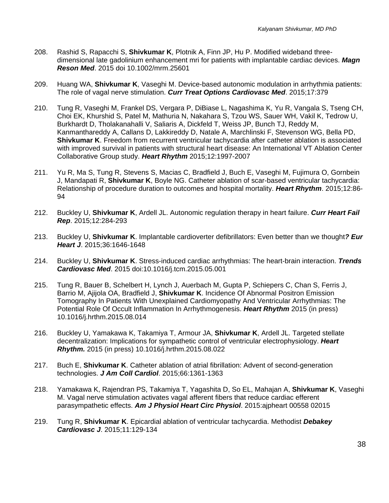- 208. Rashid S, Rapacchi S, **Shivkumar K**, Plotnik A, Finn JP, Hu P. Modified wideband threedimensional late gadolinium enhancement mri for patients with implantable cardiac devices. *Magn Reson Med*. 2015 doi 10.1002/mrm.25601
- 209. Huang WA, **Shivkumar K**, Vaseghi M. Device-based autonomic modulation in arrhythmia patients: The role of vagal nerve stimulation. *Curr Treat Options Cardiovasc Med*. 2015;17:379
- 210. Tung R, Vaseghi M, Frankel DS, Vergara P, DiBiase L, Nagashima K, Yu R, Vangala S, Tseng CH, Choi EK, Khurshid S, Patel M, Mathuria N, Nakahara S, Tzou WS, Sauer WH, Vakil K, Tedrow U, Burkhardt D, Tholakanahalli V, Saliaris A, Dickfeld T, Weiss JP, Bunch TJ, Reddy M, Kanmanthareddy A, Callans D, Lakkireddy D, Natale A, Marchlinski F, Stevenson WG, Bella PD, **Shivkumar K**. Freedom from recurrent ventricular tachycardia after catheter ablation is associated with improved survival in patients with structural heart disease: An International VT Ablation Center Collaborative Group study. *Heart Rhythm* 2015;12:1997-2007
- 211. Yu R, Ma S, Tung R, Stevens S, Macias C, Bradfield J, Buch E, Vaseghi M, Fujimura O, Gornbein J, Mandapati R, **Shivkumar K**, Boyle NG. Catheter ablation of scar-based ventricular tachycardia: Relationship of procedure duration to outcomes and hospital mortality. *Heart Rhythm*. 2015;12:86- 94
- 212. Buckley U, **Shivkumar K**, Ardell JL. Autonomic regulation therapy in heart failure. *Curr Heart Fail Rep*. 2015;12:284-293
- 213. Buckley U, **Shivkumar K**. Implantable cardioverter defibrillators: Even better than we thought*? Eur Heart J*. 2015;36:1646-1648
- 214. Buckley U, **Shivkumar K**. Stress-induced cardiac arrhythmias: The heart-brain interaction. *Trends Cardiovasc Med*. 2015 doi:10.1016/j.tcm.2015.05.001
- 215. Tung R, Bauer B, Schelbert H, Lynch J, Auerbach M, Gupta P, Schiepers C, Chan S, Ferris J, Barrio M, Ajijola OA, Bradfield J, **Shivkumar K**. Incidence Of Abnormal Positron Emission Tomography In Patients With Unexplained Cardiomyopathy And Ventricular Arrhythmias: The Potential Role Of Occult Inflammation In Arrhythmogenesis. *Heart Rhythm* 2015 (in press) 10.1016/j.hrthm.2015.08.014
- 216. Buckley U, Yamakawa K, Takamiya T, Armour JA, **Shivkumar K**, Ardell JL. Targeted stellate decentralization: Implications for sympathetic control of ventricular electrophysiology. *Heart Rhythm.* 2015 (in press) 10.1016/j.hrthm.2015.08.022
- 217. Buch E, **Shivkumar K**. Catheter ablation of atrial fibrillation: Advent of second-generation technologies. *J Am Coll Cardiol*. 2015;66:1361-1363
- 218. Yamakawa K, Rajendran PS, Takamiya T, Yagashita D, So EL, Mahajan A, **Shivkumar K**, Vaseghi M. Vagal nerve stimulation activates vagal afferent fibers that reduce cardiac efferent parasympathetic effects. *Am J Physiol Heart Circ Physiol*. 2015:ajpheart 00558 02015
- 219. Tung R, **Shivkumar K**. Epicardial ablation of ventricular tachycardia. Methodist *Debakey Cardiovasc J*. 2015;11:129-134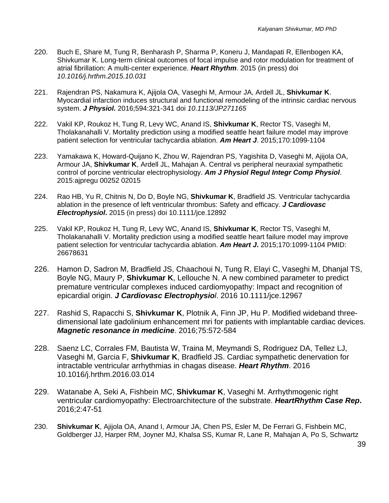- 220. Buch E, Share M, Tung R, Benharash P, Sharma P, Koneru J, Mandapati R, Ellenbogen KA, Shivkumar K. Long-term clinical outcomes of focal impulse and rotor modulation for treatment of atrial fibrillation: A multi-center experience. *Heart Rhythm*. 2015 (in press) doi *10.1016/j.hrthm.2015.10.031*
- 221. Rajendran PS, Nakamura K, Ajijola OA, Vaseghi M, Armour JA, Ardell JL, **Shivkumar K**. Myocardial infarction induces structural and functional remodeling of the intrinsic cardiac nervous system. *J Physiol.* 2016;594:321-341 doi *10.1113/JP271165*
- 222. Vakil KP, Roukoz H, Tung R, Levy WC, Anand IS, **Shivkumar K**, Rector TS, Vaseghi M, Tholakanahalli V. Mortality prediction using a modified seattle heart failure model may improve patient selection for ventricular tachycardia ablation. *Am Heart J*. 2015;170:1099-1104
- 223. Yamakawa K, Howard-Quijano K, Zhou W, Rajendran PS, Yagishita D, Vaseghi M, Ajijola OA, Armour JA, **Shivkumar K**, Ardell JL, Mahajan A. Central vs peripheral neuraxial sympathetic control of porcine ventricular electrophysiology. *Am J Physiol Regul Integr Comp Physiol*. 2015:ajpregu 00252 02015
- 224. Rao HB, Yu R, Chitnis N, Do D, Boyle NG, **Shivkumar K**, Bradfield JS. Ventricular tachycardia ablation in the presence of left ventricular thrombus: Safety and efficacy. *J Cardiovasc Electrophysiol***.** 2015 (in press) doi 10.1111/jce.12892
- 225. Vakil KP, Roukoz H, Tung R, Levy WC, Anand IS, **Shivkumar K**, Rector TS, Vaseghi M, Tholakanahalli V. Mortality prediction using a modified seattle heart failure model may improve patient selection for ventricular tachycardia ablation. *Am Heart J***.** 2015;170:1099-1104 PMID: 26678631
- 226. Hamon D, Sadron M, Bradfield JS, Chaachoui N, Tung R, Elayi C, Vaseghi M, Dhanjal TS, Boyle NG, Maury P, **Shivkumar K**, Lellouche N. A new combined parameter to predict premature ventricular complexes induced cardiomyopathy: Impact and recognition of epicardial origin. *J Cardiovasc Electrophysiol*. 2016 10.1111/jce.12967
- 227. Rashid S, Rapacchi S, **Shivkumar K**, Plotnik A, Finn JP, Hu P. Modified wideband threedimensional late gadolinium enhancement mri for patients with implantable cardiac devices. *Magnetic resonance in medicine*. 2016;75:572-584
- 228. Saenz LC, Corrales FM, Bautista W, Traina M, Meymandi S, Rodriguez DA, Tellez LJ, Vaseghi M, Garcia F, **Shivkumar K**, Bradfield JS. Cardiac sympathetic denervation for intractable ventricular arrhythmias in chagas disease. *Heart Rhythm*. 2016 10.1016/j.hrthm.2016.03.014
- 229. Watanabe A, Seki A, Fishbein MC, **Shivkumar K**, Vaseghi M. Arrhythmogenic right ventricular cardiomyopathy: Electroarchitecture of the substrate. *HeartRhythm Case Rep***.** 2016;2:47-51
- 230. **Shivkumar K**, Ajijola OA, Anand I, Armour JA, Chen PS, Esler M, De Ferrari G, Fishbein MC, Goldberger JJ, Harper RM, Joyner MJ, Khalsa SS, Kumar R, Lane R, Mahajan A, Po S, Schwartz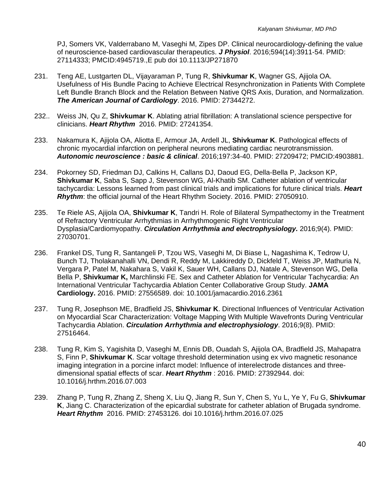PJ, Somers VK, Valderrabano M, Vaseghi M, Zipes DP. Clinical neurocardiology-defining the value of neuroscience-based cardiovascular therapeutics. *J Physiol*. 2016;594(14):3911-54. PMID: 27114333; PMCID:4945719.,E pub doi 10.1113/JP271870

- 231. Teng AE, Lustgarten DL, Vijayaraman P, Tung R, **Shivkumar K**, Wagner GS, Ajijola OA. Usefulness of His Bundle Pacing to Achieve Electrical Resynchronization in Patients With Complete Left Bundle Branch Block and the Relation Between Native QRS Axis, Duration, and Normalization. *The American Journal of Cardiology*. 2016. PMID: 27344272.
- 232.. Weiss JN, Qu Z, **Shivkumar K**. Ablating atrial fibrillation: A translational science perspective for clinicians. *Heart Rhythm* 2016. PMID: 27241354.
- 233. Nakamura K, Ajijola OA, Aliotta E, Armour JA, Ardell JL, **Shivkumar K**. Pathological effects of chronic myocardial infarction on peripheral neurons mediating cardiac neurotransmission. *Autonomic neuroscience : basic & clinical*. 2016;197:34-40. PMID: 27209472; PMCID:4903881.
- 234. Pokorney SD, Friedman DJ, Calkins H, Callans DJ, Daoud EG, Della-Bella P, Jackson KP, **Shivkumar K**, Saba S, Sapp J, Stevenson WG, Al-Khatib SM. Catheter ablation of ventricular tachycardia: Lessons learned from past clinical trials and implications for future clinical trials. *Heart Rhythm*: the official journal of the Heart Rhythm Society. 2016. PMID: 27050910.
- 235. Te Riele AS, Ajijola OA, **Shivkumar K**, Tandri H. Role of Bilateral Sympathectomy in the Treatment of Refractory Ventricular Arrhythmias in Arrhythmogenic Right Ventricular Dysplasia/Cardiomyopathy. *Circulation Arrhythmia and electrophysiology.* 2016;9(4). PMID: 27030701.
- 236. Frankel DS, Tung R, Santangeli P, Tzou WS, Vaseghi M, Di Biase L, Nagashima K, Tedrow U, Bunch TJ, Tholakanahalli VN, Dendi R, Reddy M, Lakkireddy D, Dickfeld T, Weiss JP, Mathuria N, Vergara P, Patel M, Nakahara S, Vakil K, Sauer WH, Callans DJ, Natale A, Stevenson WG, Della Bella P, **Shivkumar K,** Marchlinski FE. Sex and Catheter Ablation for Ventricular Tachycardia: An International Ventricular Tachycardia Ablation Center Collaborative Group Study. **JAMA Cardiology.** 2016. PMID: 27556589. doi: 10.1001/jamacardio.2016.2361
- 237. Tung R, Josephson ME, Bradfield JS, **Shivkumar K**. Directional Influences of Ventricular Activation on Myocardial Scar Characterization: Voltage Mapping With Multiple Wavefronts During Ventricular Tachycardia Ablation. *Circulation Arrhythmia and electrophysiology*. 2016;9(8). PMID: 27516464.
- 238. Tung R, Kim S, Yagishita D, Vaseghi M, Ennis DB, Ouadah S, Ajijola OA, Bradfield JS, Mahapatra S, Finn P, **Shivkumar K**. Scar voltage threshold determination using ex vivo magnetic resonance imaging integration in a porcine infarct model: Influence of interelectrode distances and threedimensional spatial effects of scar. *Heart Rhythm* : 2016. PMID: 27392944. doi: 10.1016/j.hrthm.2016.07.003
- 239. Zhang P, Tung R, Zhang Z, Sheng X, Liu Q, Jiang R, Sun Y, Chen S, Yu L, Ye Y, Fu G, **Shivkumar K**, Jiang C. Characterization of the epicardial substrate for catheter ablation of Brugada syndrome. *Heart Rhythm* 2016. PMID: 27453126. doi 10.1016/j.hrthm.2016.07.025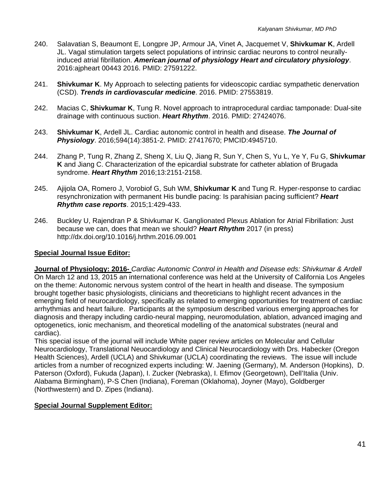- 240. Salavatian S, Beaumont E, Longpre JP, Armour JA, Vinet A, Jacquemet V, **Shivkumar K**, Ardell JL. Vagal stimulation targets select populations of intrinsic cardiac neurons to control neurallyinduced atrial fibrillation. *American journal of physiology Heart and circulatory physiology*. 2016:ajpheart 00443 2016. PMID: 27591222.
- 241. **Shivkumar K**. My Approach to selecting patients for videoscopic cardiac sympathetic denervation (CSD). *Trends in cardiovascular medicine*. 2016. PMID: 27553819.
- 242. Macias C, **Shivkumar K**, Tung R. Novel approach to intraprocedural cardiac tamponade: Dual-site drainage with continuous suction. *Heart Rhythm*. 2016. PMID: 27424076.
- 243. **Shivkumar K**, Ardell JL. Cardiac autonomic control in health and disease. *The Journal of Physiology*. 2016;594(14):3851-2. PMID: 27417670; PMCID:4945710.
- 244. Zhang P, Tung R, Zhang Z, Sheng X, Liu Q, Jiang R, Sun Y, Chen S, Yu L, Ye Y, Fu G, **Shivkumar K** and Jiang C. Characterization of the epicardial substrate for catheter ablation of Brugada syndrome. *Heart Rhythm* 2016;13:2151-2158.
- 245. Ajijola OA, Romero J, Vorobiof G, Suh WM, **Shivkumar K** and Tung R. Hyper-response to cardiac resynchronization with permanent His bundle pacing: Is parahisian pacing sufficient? *Heart Rhythm case reports*. 2015;1:429-433.
- 246. Buckley U, Rajendran P & Shivkumar K. Ganglionated Plexus Ablation for Atrial Fibrillation: Just because we can, does that mean we should? *Heart Rhythm* 2017 (in press) http://dx.doi.org/10.1016/j.hrthm.2016.09.001

#### **Special Journal Issue Editor:**

**Journal of Physiology: 2016-** *Cardiac Autonomic Control in Health and Disease eds: Shivkumar & Ardell*  On March 12 and 13, 2015 an international conference was held at the University of California Los Angeles on the theme: Autonomic nervous system control of the heart in health and disease. The symposium brought together basic physiologists, clinicians and theoreticians to highlight recent advances in the emerging field of neurocardiology, specifically as related to emerging opportunities for treatment of cardiac arrhythmias and heart failure. Participants at the symposium described various emerging approaches for diagnosis and therapy including cardio-neural mapping, neuromodulation, ablation, advanced imaging and optogenetics, ionic mechanism, and theoretical modelling of the anatomical substrates (neural and cardiac).

This special issue of the journal will include White paper review articles on Molecular and Cellular Neurocardiology, Translational Neuocardiology and Clinical Neurocardiology with Drs. Habecker (Oregon Health Sciences), Ardell (UCLA) and Shivkumar (UCLA) coordinating the reviews. The issue will include articles from a number of recognized experts including: W. Jaening (Germany), M. Anderson (Hopkins), D. Paterson (Oxford), Fukuda (Japan), I. Zucker (Nebraska), I. Efimov (Georgetown), Dell'Italia (Univ. Alabama Birmingham), P-S Chen (Indiana), Foreman (Oklahoma), Joyner (Mayo), Goldberger (Northwestern) and D. Zipes (Indiana).

## **Special Journal Supplement Editor:**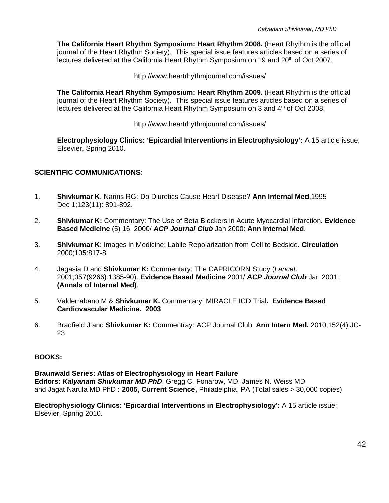**The California Heart Rhythm Symposium: Heart Rhythm 2008.** (Heart Rhythm is the official journal of the Heart Rhythm Society). This special issue features articles based on a series of lectures delivered at the California Heart Rhythm Symposium on 19 and 20<sup>th</sup> of Oct 2007.

http://www.heartrhythmjournal.com/issues/

 **The California Heart Rhythm Symposium: Heart Rhythm 2009.** (Heart Rhythm is the official journal of the Heart Rhythm Society). This special issue features articles based on a series of lectures delivered at the California Heart Rhythm Symposium on 3 and 4<sup>th</sup> of Oct 2008.

http://www.heartrhythmjournal.com/issues/

 **Electrophysiology Clinics: 'Epicardial Interventions in Electrophysiology':** A 15 article issue; Elsevier, Spring 2010.

#### **SCIENTIFIC COMMUNICATIONS:**

- 1. **Shivkumar K**, Narins RG: Do Diuretics Cause Heart Disease? **Ann Internal Med**,1995 Dec 1;123(11): 891-892.
- 2. **Shivkumar K:** Commentary: The Use of Beta Blockers in Acute Myocardial Infarction*.* **Evidence Based Medicine** (5) 16, 2000/ *ACP Journal Club* Jan 2000: **Ann Internal Med**.
- 3. **Shivkumar K**: Images in Medicine; Labile Repolarization from Cell to Bedside. **Circulation** 2000;105:817-8
- 4. Jagasia D and **Shivkumar K:** Commentary: The CAPRICORN Study (*Lancet*. 2001;357(9266):1385-90). **Evidence Based Medicine** 2001/ *ACP Journal Club* Jan 2001: **(Annals of Internal Med)**.
- 5. Valderrabano M & **Shivkumar K.** Commentary: MIRACLE ICD Trial**. Evidence Based Cardiovascular Medicine. 2003**
- 6. Bradfield J and **Shivkumar K:** Commentray: ACP Journal Club **Ann Intern Med.** 2010;152(4):JC-23

#### **BOOKS:**

**Braunwald Series: Atlas of Electrophysiology in Heart Failure Editors:** *Kalyanam Shivkumar MD PhD*, Gregg C. Fonarow, MD, James N. Weiss MD and Jagat Narula MD PhD **: 2005, Current Science,** Philadelphia, PA (Total sales > 30,000 copies)

**Electrophysiology Clinics: 'Epicardial Interventions in Electrophysiology':** A 15 article issue; Elsevier, Spring 2010.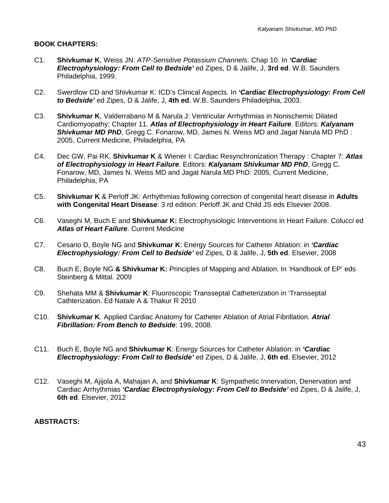#### **BOOK CHAPTERS:**

- C1. **Shivkumar K**, Weiss JN: *ATP-Sensitive Potassium Channels*. Chap 10. In *'Cardiac Electrophysiology: From Cell to Bedside'* ed Zipes, D & Jalife, J, **3rd ed**. W.B. Saunders Philadelphia, 1999.
- C2. Swerdlow CD and Shivkumar K: ICD's Clinical Aspects. In *'Cardiac Electrophysiology: From Cell to Bedside'* ed Zipes, D & Jalife, J, **4th ed**. W.B. Saunders Philadelphia, 2003.
- C3. **Shivkumar K**, Valderrabano M & Narula J: Ventricular Arrhythmias in Nonischemic Dilated Cardiomyopathy; Chapter 11. *Atlas of Electrophysiology in Heart Failure*. Editors: *Kalyanam Shivkumar MD PhD*, Gregg C. Fonarow, MD, James N. Weiss MD and Jagat Narula MD PhD : 2005, Current Medicine, Philadelphia, PA
- C4. Dec GW, Pai RK, **Shivkumar K** & Wiener I: Cardiac Resynchronization Therapy : Chapter 7: *Atlas of Electrophysiology in Heart Failure*. Editors: *Kalyanam Shivkumar MD PhD*, Gregg C. Fonarow, MD, James N. Weiss MD and Jagat Narula MD PhD: 2005, Current Medicine, Philadelphia, PA
- C5. **Shivkumar K** & Perloff JK: Arrhythmias following correction of congenital heart disease in **Adults with Congenital Heart Disease**: 3 rd edition: Perloff JK and Child JS eds Elsevier 2008.
- C6. Vaseghi M, Buch E and **Shivkumar K:** Electrophysiologic Interventions in Heart Failure. Colucci ed *Atlas of Heart Failure*. Current Medicine
- C7. Cesario D, Boyle NG and **Shivkumar K**: Energy Sources for Catheter Ablation: in *'Cardiac Electrophysiology: From Cell to Bedside'* ed Zipes, D & Jalife, J, **5th ed**. Elsevier, 2008
- C8. Buch E, Boyle NG **& Shivkumar K:** Principles of Mapping and Ablation. In 'Handbook of EP' eds Steinberg & Mittal. 2009
- C9. Shehata MM & **Shivkumar K**: Fluoroscopic Transseptal Catheterization in 'Transseptal Cathterization. Ed Natale A & Thakur R 2010
- C10. **Shivkumar K**. Applied Cardiac Anatomy for Catheter Ablation of Atrial Fibrillation. *Atrial Fibrillation: From Bench to Bedside*: 199, 2008.
- C11. Buch E, Boyle NG and **Shivkumar K**: Energy Sources for Catheter Ablation: in *'Cardiac Electrophysiology: From Cell to Bedside'* ed Zipes, D & Jalife, J, **6th ed**. Elsevier, 2012
- C12. Vaseghi M, Ajijola A, Mahajan A, and **Shivkumar K**: Sympathetic Innervation, Denervation and Cardiac Arrhythmias *'Cardiac Electrophysiology: From Cell to Bedside'* ed Zipes, D & Jalife, J, **6th ed**. Elsevier, 2012

#### **ABSTRACTS:**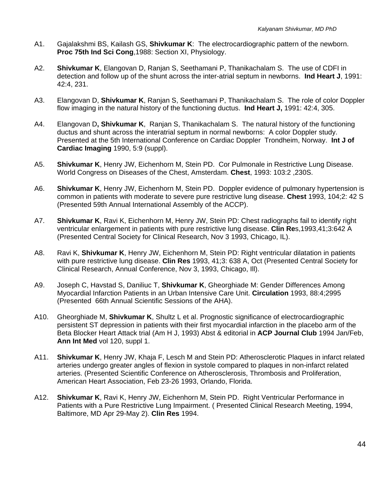- A1. Gajalakshmi BS, Kailash GS, **Shivkumar K**: The electrocardiographic pattern of the newborn. **Proc 75th Ind Sci Cong**,1988: Section XI, Physiology.
- A2. **Shivkumar K**, Elangovan D, Ranjan S, Seethamani P, Thanikachalam S. The use of CDFI in detection and follow up of the shunt across the inter-atrial septum in newborns. **Ind Heart J**, 1991: 42:4, 231.
- A3. Elangovan D, **Shivkumar K**, Ranjan S, Seethamani P, Thanikachalam S. The role of color Doppler flow imaging in the natural history of the functioning ductus. **Ind Heart J,** 1991: 42:4, 305.
- A4. Elangovan D**, Shivkumar K**, Ranjan S, Thanikachalam S. The natural history of the functioning ductus and shunt across the interatrial septum in normal newborns: A color Doppler study. Presented at the 5th International Conference on Cardiac Doppler Trondheim, Norway. **Int J of Cardiac Imaging** 1990, 5:9 (suppl).
- A5. **Shivkumar K**, Henry JW, Eichenhorn M, Stein PD. Cor Pulmonale in Restrictive Lung Disease. World Congress on Diseases of the Chest, Amsterdam. **Chest**, 1993: 103:2 ,230S.
- A6. **Shivkumar K**, Henry JW, Eichenhorn M, Stein PD. Doppler evidence of pulmonary hypertension is common in patients with moderate to severe pure restrictive lung disease. **Chest** 1993, 104;2: 42 S (Presented 59th Annual International Assembly of the ACCP).
- A7. **Shivkumar K**, Ravi K, Eichenhorn M, Henry JW, Stein PD: Chest radiographs fail to identify right ventricular enlargement in patients with pure restrictive lung disease. **Clin Re**s,1993,41;3:642 A (Presented Central Society for Clinical Research, Nov 3 1993, Chicago, IL).
- A8. Ravi K, **Shivkumar K**, Henry JW, Eichenhorn M, Stein PD: Right ventricular dilatation in patients with pure restrictive lung disease. **Clin Res** 1993, 41;3: 638 A, Oct (Presented Central Society for Clinical Research, Annual Conference, Nov 3, 1993, Chicago, Ill).
- A9. Joseph C, Havstad S, Daniliuc T, **Shivkumar K**, Gheorghiade M: Gender Differences Among Myocardial Infarction Patients in an Urban Intensive Care Unit. **Circulation** 1993, 88:4;2995 (Presented 66th Annual Scientific Sessions of the AHA).
- A10. Gheorghiade M, **Shivkumar K**, Shultz L et al. Prognostic significance of electrocardiographic persistent ST depression in patients with their first myocardial infarction in the placebo arm of the Beta Blocker Heart Attack trial (Am H J, 1993) Abst & editorial in **ACP Journal Club** 1994 Jan/Feb, **Ann Int Med** vol 120, suppl 1.
- A11. **Shivkumar K**, Henry JW, Khaja F, Lesch M and Stein PD: Atherosclerotic Plaques in infarct related arteries undergo greater angles of flexion in systole compared to plaques in non-infarct related arteries. (Presented Scientific Conference on Atherosclerosis, Thrombosis and Proliferation, American Heart Association, Feb 23-26 1993, Orlando, Florida.
- A12. **Shivkumar K**, Ravi K, Henry JW, Eichenhorn M, Stein PD. Right Ventricular Performance in Patients with a Pure Restrictive Lung Impairment. (Presented Clinical Research Meeting. 1994. Baltimore, MD Apr 29-May 2). **Clin Res** 1994.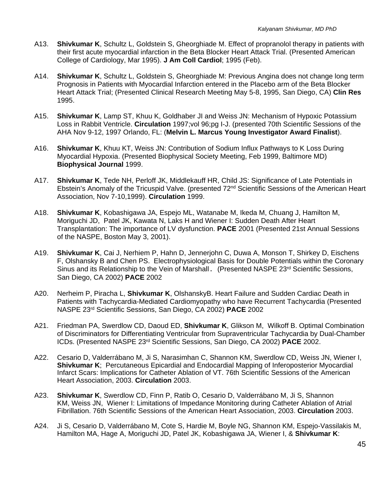- A13. **Shivkumar K**, Schultz L, Goldstein S, Gheorghiade M. Effect of propranolol therapy in patients with their first acute myocardial infarction in the Beta Blocker Heart Attack Trial. (Presented American College of Cardiology, Mar 1995). **J Am Coll Cardiol**; 1995 (Feb).
- A14. **Shivkumar K**, Schultz L, Goldstein S, Gheorghiade M: Previous Angina does not change long term Prognosis in Patients with Myocardial Infarction entered in the Placebo arm of the Beta Blocker Heart Attack Trial; (Presented Clinical Research Meeting May 5-8, 1995, San Diego, CA) **Clin Res**  1995.
- A15. **Shivkumar K**, Lamp ST, Khuu K, Goldhaber JI and Weiss JN: Mechanism of Hypoxic Potassium Loss in Rabbit Ventricle. **Circulation** 1997;vol 96;pg I-J. (presented 70th Scientific Sessions of the AHA Nov 9-12, 1997 Orlando, FL: (**Melvin L. Marcus Young Investigator Award Finalist**).
- A16. **Shivkumar K**, Khuu KT, Weiss JN: Contribution of Sodium Influx Pathways to K Loss During Myocardial Hypoxia. (Presented Biophysical Society Meeting, Feb 1999, Baltimore MD) **Biophysical Journal** 1999.
- A17. **Shivkumar K**, Tede NH, Perloff JK, Middlekauff HR, Child JS: Significance of Late Potentials in Ebstein's Anomaly of the Tricuspid Valve. (presented 72<sup>nd</sup> Scientific Sessions of the American Heart Association, Nov 7-10,1999). **Circulation** 1999.
- A18. **Shivkumar K**, Kobashigawa JA, Espejo ML, Watanabe M, Ikeda M, Chuang J, Hamilton M, Moriguchi JD, Patel JK, Kawata N, Laks H and Wiener I: Sudden Death After Heart Transplantation: The importance of LV dysfunction. **PACE** 2001 (Presented 21st Annual Sessions of the NASPE, Boston May 3, 2001).
- A19. **Shivkumar K**, Cai J, Nerhiem P, Hahn D, Jennerjohn C, Duwa A, Monson T, Shirkey D, Eischens F, Olshansky B and Chen PS. Electrophysiological Basis for Double Potentials within the Coronary Sinus and its Relationship to the Vein of Marshall. (Presented NASPE 23rd Scientific Sessions, San Diego, CA 2002) **PACE** 2002
- A20. Nerheim P, Piracha L, **Shivkumar K**, OlshanskyB. Heart Failure and Sudden Cardiac Death in Patients with Tachycardia-Mediated Cardiomyopathy who have Recurrent Tachycardia (Presented NASPE 23rd Scientific Sessions, San Diego, CA 2002) **PACE** 2002
- A21. Friedman PA, Swerdlow CD, Daoud ED, **Shivkumar K**, Glikson M, Wilkoff B. Optimal Combination of Discriminators for Differentiating Ventricular from Supraventricular Tachycardia by Dual-Chamber ICDs. (Presented NASPE 23rd Scientific Sessions, San Diego, CA 2002) **PACE** 2002.
- A22. Cesario D, Valderrábano M, Ji S, Narasimhan C, Shannon KM, Swerdlow CD, Weiss JN, Wiener I, **Shivkumar K**; Percutaneous Epicardial and Endocardial Mapping of Inferoposterior Myocardial Infarct Scars: Implications for Catheter Ablation of VT. 76th Scientific Sessions of the American Heart Association, 2003. **Circulation** 2003.
- A23. **Shivkumar K**, Swerdlow CD, Finn P, Ratib O, Cesario D, Valderrábano M, Ji S, Shannon KM, Weiss JN, Wiener I: Limitations of Impedance Monitoring during Catheter Ablation of Atrial Fibrillation. 76th Scientific Sessions of the American Heart Association, 2003. **Circulation** 2003.
- A24. Ji S, Cesario D, Valderrábano M, Cote S, Hardie M, Boyle NG, Shannon KM, Espejo-Vassilakis M, Hamilton MA, Hage A, Moriguchi JD, Patel JK, Kobashigawa JA, Wiener I, & **Shivkumar K**: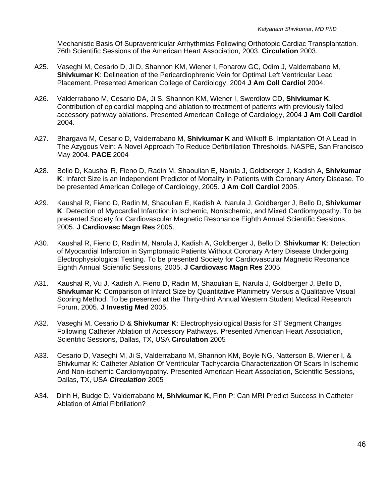Mechanistic Basis Of Supraventricular Arrhythmias Following Orthotopic Cardiac Transplantation. 76th Scientific Sessions of the American Heart Association, 2003. **Circulation** 2003.

- A25. Vaseghi M, Cesario D, Ji D, Shannon KM, Wiener I, Fonarow GC, Odim J, Valderrabano M, **Shivkumar K**: Delineation of the Pericardiophrenic Vein for Optimal Left Ventricular Lead Placement. Presented American College of Cardiology, 2004 **J Am Coll Cardiol** 2004.
- A26. Valderrabano M, Cesario DA, Ji S, Shannon KM, Wiener I, Swerdlow CD, **Shivkumar K**. Contribution of epicardial mapping and ablation to treatment of patients with previously failed accessory pathway ablations. Presented American College of Cardiology, 2004 **J Am Coll Cardiol** 2004.
- A27. Bhargava M, Cesario D, Valderrabano M, **Shivkumar K** and Wilkoff B. Implantation Of A Lead In The Azygous Vein: A Novel Approach To Reduce Defibrillation Thresholds. NASPE, San Francisco May 2004. **PACE** 2004
- A28. Bello D, Kaushal R, Fieno D, Radin M, Shaoulian E, Narula J, Goldberger J, Kadish A, **Shivkumar K**: Infarct Size is an Independent Predictor of Mortality in Patients with Coronary Artery Disease. To be presented American College of Cardiology, 2005. **J Am Coll Cardiol** 2005.
- A29. Kaushal R, Fieno D, Radin M, Shaoulian E, Kadish A, Narula J, Goldberger J, Bello D, **Shivkumar K**: Detection of Myocardial Infarction in Ischemic, Nonischemic, and Mixed Cardiomyopathy. To be presented Society for Cardiovascular Magnetic Resonance Eighth Annual Scientific Sessions, 2005. **J Cardiovasc Magn Res** 2005.
- A30. Kaushal R, Fieno D, Radin M, Narula J, Kadish A, Goldberger J, Bello D, **Shivkumar K**: Detection of Myocardial Infarction in Symptomatic Patients Without Coronary Artery Disease Undergoing Electrophysiological Testing. To be presented Society for Cardiovascular Magnetic Resonance Eighth Annual Scientific Sessions, 2005. **J Cardiovasc Magn Res** 2005.
- A31. Kaushal R, Vu J, Kadish A, Fieno D, Radin M, Shaoulian E, Narula J, Goldberger J, Bello D, **Shivkumar K**: Comparison of Infarct Size by Quantitative Planimetry Versus a Qualitative Visual Scoring Method. To be presented at the Thirty-third Annual Western Student Medical Research Forum, 2005. **J Investig Med** 2005.
- A32. Vaseghi M, Cesario D & **Shivkumar K**: Electrophysiological Basis for ST Segment Changes Following Catheter Ablation of Accessory Pathways. Presented American Heart Association, Scientific Sessions, Dallas, TX, USA **Circulation** 2005
- A33. Cesario D, Vaseghi M, Ji S, Valderrabano M, Shannon KM, Boyle NG, Natterson B, Wiener I, & Shivkumar K: Catheter Ablation Of Ventricular Tachycardia Characterization Of Scars In Ischemic And Non-ischemic Cardiomyopathy. Presented American Heart Association, Scientific Sessions, Dallas, TX, USA *Circulation* 2005
- A34. Dinh H, Budge D, Valderrabano M, **Shivkumar K,** Finn P: Can MRI Predict Success in Catheter Ablation of Atrial Fibrillation?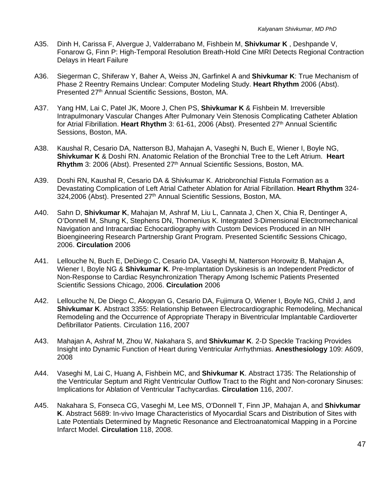- A35. Dinh H, Carissa F, Alvergue J, Valderrabano M, Fishbein M, **Shivkumar K** , Deshpande V, Fonarow G, Finn P: High-Temporal Resolution Breath-Hold Cine MRI Detects Regional Contraction Delays in Heart Failure
- A36. Siegerman C, Shiferaw Y, Baher A, Weiss JN, Garfinkel A and **Shivkumar K**: True Mechanism of Phase 2 Reentry Remains Unclear: Computer Modeling Study. **Heart Rhythm** 2006 (Abst). Presented 27th Annual Scientific Sessions, Boston, MA.
- A37. Yang HM, Lai C, Patel JK, Moore J, Chen PS, **Shivkumar K** & Fishbein M. Irreversible Intrapulmonary Vascular Changes After Pulmonary Vein Stenosis Complicating Catheter Ablation for Atrial Fibrillation. **Heart Rhythm** 3: 61-61, 2006 (Abst). Presented 27th Annual Scientific Sessions, Boston, MA.
- A38. Kaushal R, Cesario DA, Natterson BJ, Mahajan A, Vaseghi N, Buch E, Wiener I, Boyle NG, **Shivkumar K** & Doshi RN. Anatomic Relation of the Bronchial Tree to the Left Atrium. **Heart**  Rhythm 3: 2006 (Abst). Presented 27<sup>th</sup> Annual Scientific Sessions, Boston, MA.
- A39. Doshi RN, Kaushal R, Cesario DA & Shivkumar K. Atriobronchial Fistula Formation as a Devastating Complication of Left Atrial Catheter Ablation for Atrial Fibrillation. **Heart Rhythm** 324- 324,2006 (Abst). Presented 27<sup>th</sup> Annual Scientific Sessions, Boston, MA.
- A40. Sahn D, **Shivkumar K**, Mahajan M, Ashraf M, Liu L, Cannata J, Chen X, Chia R, Dentinger A, O'Donnell M, Shung K, Stephens DN, Thomenius K. Integrated 3-Dimensional Electromechanical Navigation and Intracardiac Echocardiography with Custom Devices Produced in an NIH Bioengineering Research Partnership Grant Program. Presented Scientific Sessions Chicago, 2006. **Circulation** 2006
- A41. Lellouche N, Buch E, DeDiego C, Cesario DA, Vaseghi M, Natterson Horowitz B, Mahajan A, Wiener I, Boyle NG & **Shivkumar K**. Pre-Implantation Dyskinesis is an Independent Predictor of Non-Response to Cardiac Resynchronization Therapy Among Ischemic Patients Presented Scientific Sessions Chicago, 2006. **Circulation** 2006
- A42. Lellouche N, De Diego C, Akopyan G, Cesario DA, Fujimura O, Wiener I, Boyle NG, Child J, and **Shivkumar K**. Abstract 3355: Relationship Between Electrocardiographic Remodeling, Mechanical Remodeling and the Occurrence of Appropriate Therapy in Biventricular Implantable Cardioverter Defibrillator Patients. Circulation 116, 2007
- A43. Mahajan A, Ashraf M, Zhou W, Nakahara S, and **Shivkumar K**. 2-D Speckle Tracking Provides Insight into Dynamic Function of Heart during Ventricular Arrhythmias. **Anesthesiology** 109: A609, 2008
- A44. Vaseghi M, Lai C, Huang A, Fishbein MC, and **Shivkumar K**. Abstract 1735: The Relationship of the Ventricular Septum and Right Ventricular Outflow Tract to the Right and Non-coronary Sinuses: Implications for Ablation of Ventricular Tachycardias. **Circulation** 116, 2007.
- A45. Nakahara S, Fonseca CG, Vaseghi M, Lee MS, O'Donnell T, Finn JP, Mahajan A, and **Shivkumar K**. Abstract 5689: In-vivo Image Characteristics of Myocardial Scars and Distribution of Sites with Late Potentials Determined by Magnetic Resonance and Electroanatomical Mapping in a Porcine Infarct Model. **Circulation** 118, 2008.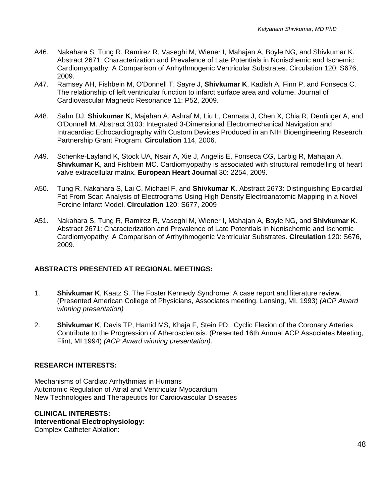- A46. Nakahara S, Tung R, Ramirez R, Vaseghi M, Wiener I, Mahajan A, Boyle NG, and Shivkumar K. Abstract 2671: Characterization and Prevalence of Late Potentials in Nonischemic and Ischemic Cardiomyopathy: A Comparison of Arrhythmogenic Ventricular Substrates. Circulation 120: S676, 2009.
- A47. Ramsey AH, Fishbein M, O'Donnell T, Sayre J, **Shivkumar K**, Kadish A, Finn P, and Fonseca C. The relationship of left ventricular function to infarct surface area and volume. Journal of Cardiovascular Magnetic Resonance 11: P52, 2009.
- A48. Sahn DJ, **Shivkumar K**, Majahan A, Ashraf M, Liu L, Cannata J, Chen X, Chia R, Dentinger A, and O'Donnell M. Abstract 3103: Integrated 3-Dimensional Electromechanical Navigation and Intracardiac Echocardiography with Custom Devices Produced in an NIH Bioengineering Research Partnership Grant Program. **Circulation** 114, 2006.
- A49. Schenke-Layland K, Stock UA, Nsair A, Xie J, Angelis E, Fonseca CG, Larbig R, Mahajan A, **Shivkumar K**, and Fishbein MC. Cardiomyopathy is associated with structural remodelling of heart valve extracellular matrix. **European Heart Journal** 30: 2254, 2009.
- A50. Tung R, Nakahara S, Lai C, Michael F, and **Shivkumar K**. Abstract 2673: Distinguishing Epicardial Fat From Scar: Analysis of Electrograms Using High Density Electroanatomic Mapping in a Novel Porcine Infarct Model. **Circulation** 120: S677, 2009
- A51. Nakahara S, Tung R, Ramirez R, Vaseghi M, Wiener I, Mahajan A, Boyle NG, and **Shivkumar K**. Abstract 2671: Characterization and Prevalence of Late Potentials in Nonischemic and Ischemic Cardiomyopathy: A Comparison of Arrhythmogenic Ventricular Substrates. **Circulation** 120: S676, 2009.

## **ABSTRACTS PRESENTED AT REGIONAL MEETINGS:**

- 1. **Shivkumar K**, Kaatz S. The Foster Kennedy Syndrome: A case report and literature review. (Presented American College of Physicians, Associates meeting, Lansing, MI, 1993) *(ACP Award winning presentation)*
- 2. **Shivkumar K**, Davis TP, Hamid MS, Khaja F, Stein PD. Cyclic Flexion of the Coronary Arteries Contribute to the Progression of Atherosclerosis. (Presented 16th Annual ACP Associates Meeting, Flint, MI 1994) *(ACP Award winning presentation)*.

## **RESEARCH INTERESTS:**

Mechanisms of Cardiac Arrhythmias in Humans Autonomic Regulation of Atrial and Ventricular Myocardium New Technologies and Therapeutics for Cardiovascular Diseases

**CLINICAL INTERESTS: Interventional Electrophysiology:**  Complex Catheter Ablation: